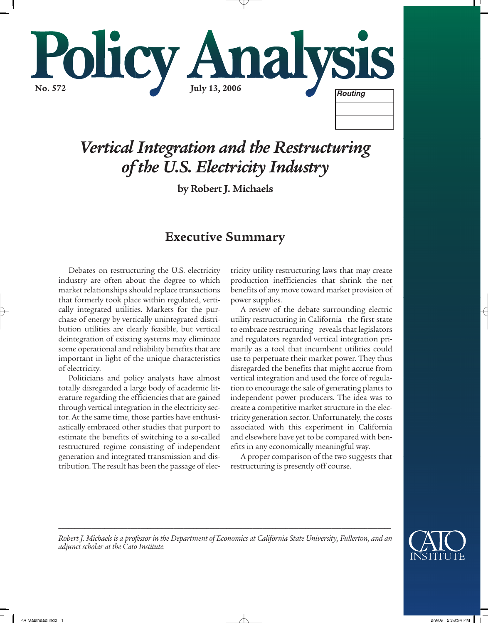

# *Vertical Integration and the Restructuring of the U.S. Electricity Industry*

**by Robert J. Michaels** 

## **Executive Summary**

Debates on restructuring the U.S. electricity industry are often about the degree to which market relationships should replace transactions that formerly took place within regulated, vertically integrated utilities. Markets for the purchase of energy by vertically unintegrated distribution utilities are clearly feasible, but vertical deintegration of existing systems may eliminate some operational and reliability benefits that are important in light of the unique characteristics of electricity.

Politicians and policy analysts have almost totally disregarded a large body of academic literature regarding the efficiencies that are gained through vertical integration in the electricity sector. At the same time, those parties have enthusiastically embraced other studies that purport to estimate the benefits of switching to a so-called restructured regime consisting of independent generation and integrated transmission and distribution. The result has been the passage of elec-

tricity utility restructuring laws that may create production inefficiencies that shrink the net benefits of any move toward market provision of power supplies.

A review of the debate surrounding electric utility restructuring in California—the first state to embrace restructuring—reveals that legislators and regulators regarded vertical integration primarily as a tool that incumbent utilities could use to perpetuate their market power. They thus disregarded the benefits that might accrue from vertical integration and used the force of regulation to encourage the sale of generating plants to independent power producers. The idea was to create a competitive market structure in the electricity generation sector. Unfortunately, the costs associated with this experiment in California and elsewhere have yet to be compared with benefits in any economically meaningful way.

A proper comparison of the two suggests that restructuring is presently off course.



*Robert J. Michaels is a professor in the Department of Economics at California State University, Fullerton, and an adjunct scholar at the Cato Institute.*

*\_\_\_\_\_\_\_\_\_\_\_\_\_\_\_\_\_\_\_\_\_\_\_\_\_\_\_\_\_\_\_\_\_\_\_\_\_\_\_\_\_\_\_\_\_\_\_\_\_\_\_\_\_\_\_\_\_\_\_\_\_\_\_\_\_\_\_\_\_\_\_\_\_\_\_\_\_\_\_\_\_\_\_\_\_\_\_\_\_\_\_\_\_\_\_\_\_\_\_\_\_*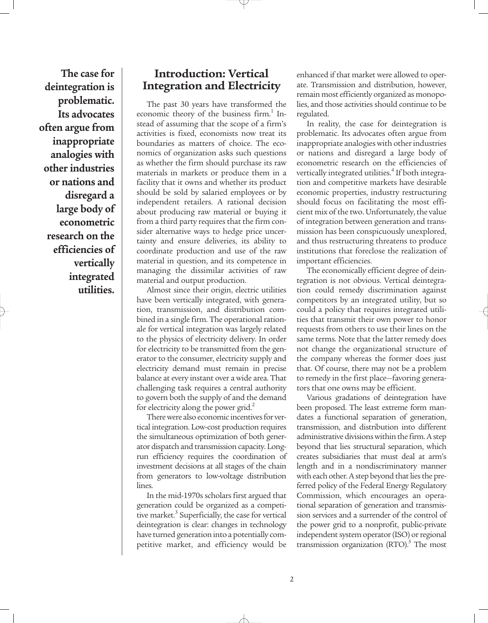**The case for deintegration is problematic. Its advocates often argue from inappropriate analogies with other industries or nations and disregard a large body of econometric research on the efficiencies of vertically integrated utilities.**

## **Introduction: Vertical Integration and Electricity**

The past 30 years have transformed the economic theory of the business firm.<sup>1</sup> Instead of assuming that the scope of a firm's activities is fixed, economists now treat its boundaries as matters of choice. The economics of organization asks such questions as whether the firm should purchase its raw materials in markets or produce them in a facility that it owns and whether its product should be sold by salaried employees or by independent retailers. A rational decision about producing raw material or buying it from a third party requires that the firm consider alternative ways to hedge price uncertainty and ensure deliveries, its ability to coordinate production and use of the raw material in question, and its competence in managing the dissimilar activities of raw material and output production.

Almost since their origin, electric utilities have been vertically integrated, with generation, transmission, and distribution combined in a single firm. The operational rationale for vertical integration was largely related to the physics of electricity delivery. In order for electricity to be transmitted from the generator to the consumer, electricity supply and electricity demand must remain in precise balance at every instant over a wide area. That challenging task requires a central authority to govern both the supply of and the demand for electricity along the power grid.<sup>2</sup>

There were also economic incentives for vertical integration. Low-cost production requires the simultaneous optimization of both generator dispatch and transmission capacity. Longrun efficiency requires the coordination of investment decisions at all stages of the chain from generators to low-voltage distribution lines.

In the mid-1970s scholars first argued that generation could be organized as a competitive market.<sup>3</sup> Superficially, the case for vertical deintegration is clear: changes in technology have turned generation into a potentially competitive market, and efficiency would be enhanced if that market were allowed to operate. Transmission and distribution, however, remain most efficiently organized as monopolies, and those activities should continue to be regulated.

In reality, the case for deintegration is problematic. Its advocates often argue from inappropriate analogies with other industries or nations and disregard a large body of econometric research on the efficiencies of vertically integrated utilities.<sup>4</sup> If both integration and competitive markets have desirable economic properties, industry restructuring should focus on facilitating the most efficient mix of the two. Unfortunately, the value of integration between generation and transmission has been conspicuously unexplored, and thus restructuring threatens to produce institutions that foreclose the realization of important efficiencies.

The economically efficient degree of deintegration is not obvious. Vertical deintegration could remedy discrimination against competitors by an integrated utility, but so could a policy that requires integrated utilities that transmit their own power to honor requests from others to use their lines on the same terms. Note that the latter remedy does not change the organizational structure of the company whereas the former does just that. Of course, there may not be a problem to remedy in the first place—favoring generators that one owns may be efficient.

Various gradations of deintegration have been proposed. The least extreme form mandates a functional separation of generation, transmission, and distribution into different administrative divisions within the firm. A step beyond that lies structural separation, which creates subsidiaries that must deal at arm's length and in a nondiscriminatory manner with each other. A step beyond that lies the preferred policy of the Federal Energy Regulatory Commission, which encourages an operational separation of generation and transmission services and a surrender of the control of the power grid to a nonprofit, public-private independent system operator (ISO) or regional transmission organization  $(RTO)^5$ . The most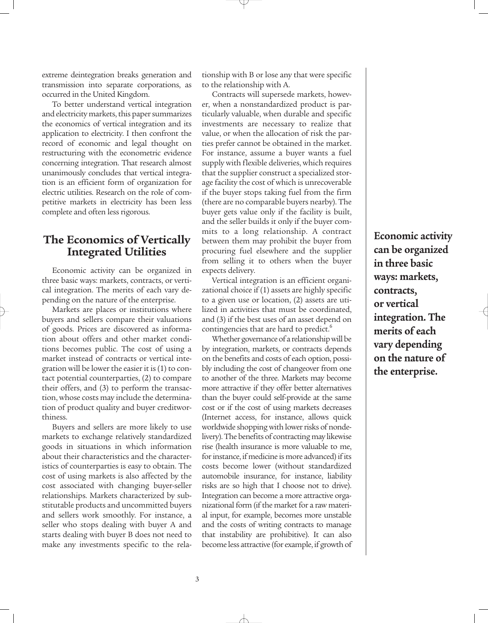extreme deintegration breaks generation and transmission into separate corporations, as occurred in the United Kingdom.

To better understand vertical integration and electricity markets, this paper summarizes the economics of vertical integration and its application to electricity. I then confront the record of economic and legal thought on restructuring with the econometric evidence concerning integration. That research almost unanimously concludes that vertical integration is an efficient form of organization for electric utilities. Research on the role of competitive markets in electricity has been less complete and often less rigorous.

## **The Economics of Vertically Integrated Utilities**

Economic activity can be organized in three basic ways: markets, contracts, or vertical integration. The merits of each vary depending on the nature of the enterprise.

Markets are places or institutions where buyers and sellers compare their valuations of goods. Prices are discovered as information about offers and other market conditions becomes public. The cost of using a market instead of contracts or vertical integration will be lower the easier it is (1) to contact potential counterparties, (2) to compare their offers, and (3) to perform the transaction, whose costs may include the determination of product quality and buyer creditworthiness.

Buyers and sellers are more likely to use markets to exchange relatively standardized goods in situations in which information about their characteristics and the characteristics of counterparties is easy to obtain. The cost of using markets is also affected by the cost associated with changing buyer-seller relationships. Markets characterized by substitutable products and uncommitted buyers and sellers work smoothly. For instance, a seller who stops dealing with buyer A and starts dealing with buyer B does not need to make any investments specific to the relationship with B or lose any that were specific to the relationship with A.

Contracts will supersede markets, however, when a nonstandardized product is particularly valuable, when durable and specific investments are necessary to realize that value, or when the allocation of risk the parties prefer cannot be obtained in the market. For instance, assume a buyer wants a fuel supply with flexible deliveries, which requires that the supplier construct a specialized storage facility the cost of which is unrecoverable if the buyer stops taking fuel from the firm (there are no comparable buyers nearby). The buyer gets value only if the facility is built, and the seller builds it only if the buyer commits to a long relationship. A contract between them may prohibit the buyer from procuring fuel elsewhere and the supplier from selling it to others when the buyer expects delivery.

Vertical integration is an efficient organizational choice if (1) assets are highly specific to a given use or location, (2) assets are utilized in activities that must be coordinated, and (3) if the best uses of an asset depend on contingencies that are hard to predict.<sup>6</sup>

Whether governance of a relationship will be by integration, markets, or contracts depends on the benefits and costs of each option, possibly including the cost of changeover from one to another of the three. Markets may become more attractive if they offer better alternatives than the buyer could self-provide at the same cost or if the cost of using markets decreases (Internet access, for instance, allows quick worldwide shopping with lower risks of nondelivery). The benefits of contracting may likewise rise (health insurance is more valuable to me, for instance, if medicine is more advanced) if its costs become lower (without standardized automobile insurance, for instance, liability risks are so high that I choose not to drive). Integration can become a more attractive organizational form (if the market for a raw material input, for example, becomes more unstable and the costs of writing contracts to manage that instability are prohibitive). It can also become less attractive (for example, if growth of

**Economic activity can be organized in three basic ways: markets, contracts, or vertical integration. The merits of each vary depending on the nature of the enterprise.**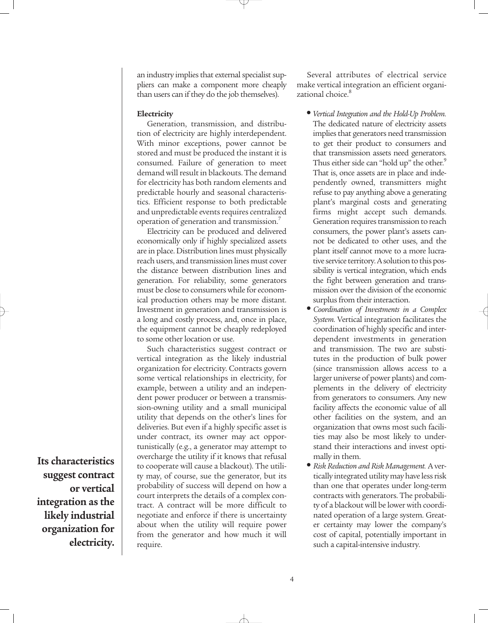an industry implies that external specialist suppliers can make a component more cheaply than users can if they do the job themselves).

#### **Electricity**

Generation, transmission, and distribution of electricity are highly interdependent. With minor exceptions, power cannot be stored and must be produced the instant it is consumed. Failure of generation to meet demand will result in blackouts. The demand for electricity has both random elements and predictable hourly and seasonal characteristics. Efficient response to both predictable and unpredictable events requires centralized operation of generation and transmission.<sup>7</sup>

Electricity can be produced and delivered economically only if highly specialized assets are in place. Distribution lines must physically reach users, and transmission lines must cover the distance between distribution lines and generation. For reliability, some generators must be close to consumers while for economical production others may be more distant. Investment in generation and transmission is a long and costly process, and, once in place, the equipment cannot be cheaply redeployed to some other location or use.

Such characteristics suggest contract or vertical integration as the likely industrial organization for electricity. Contracts govern some vertical relationships in electricity, for example, between a utility and an independent power producer or between a transmission-owning utility and a small municipal utility that depends on the other's lines for deliveries. But even if a highly specific asset is under contract, its owner may act opportunistically (e.g., a generator may attempt to overcharge the utility if it knows that refusal to cooperate will cause a blackout). The utility may, of course, sue the generator, but its probability of success will depend on how a court interprets the details of a complex contract. A contract will be more difficult to negotiate and enforce if there is uncertainty about when the utility will require power from the generator and how much it will require.

Several attributes of electrical service make vertical integration an efficient organizational choice.<sup>8</sup>

- *Vertical Integration and the Hold-Up Problem.* The dedicated nature of electricity assets implies that generators need transmission to get their product to consumers and that transmission assets need generators. Thus either side can "hold up" the other.<sup>9</sup> That is, once assets are in place and independently owned, transmitters might refuse to pay anything above a generating plant's marginal costs and generating firms might accept such demands. Generation requires transmission to reach consumers, the power plant's assets cannot be dedicated to other uses, and the plant itself cannot move to a more lucrative service territory. A solution to this possibility is vertical integration, which ends the fight between generation and transmission over the division of the economic surplus from their interaction.
- *Coordination of Investments in a Complex System.* Vertical integration facilitates the coordination of highly specific and interdependent investments in generation and transmission. The two are substitutes in the production of bulk power (since transmission allows access to a larger universe of power plants) and complements in the delivery of electricity from generators to consumers. Any new facility affects the economic value of all other facilities on the system, and an organization that owns most such facilities may also be most likely to understand their interactions and invest optimally in them.
- *Risk Reduction and Risk Management.* A vertically integrated utility may have less risk than one that operates under long-term contracts with generators. The probability of a blackout will be lower with coordinated operation of a large system. Greater certainty may lower the company's cost of capital, potentially important in such a capital-intensive industry.

**Its characteristics suggest contract or vertical integration as the likely industrial organization for electricity.**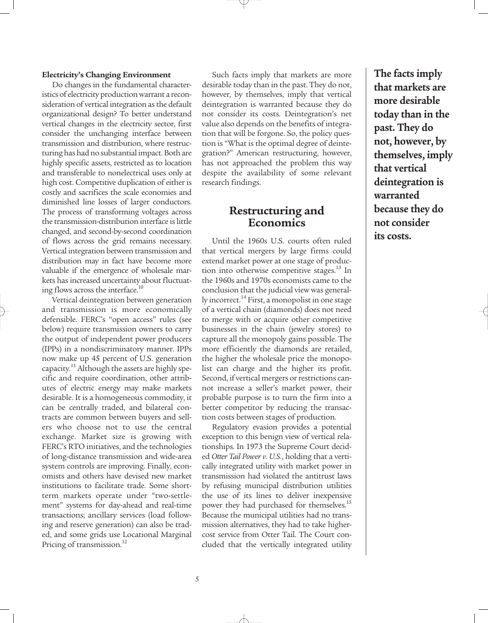#### **Electricity's Changing Environment**

Do changes in the fundamental characteristics of electricity production warrant a reconsideration of vertical integration as the default organizational design? To better understand vertical changes in the electricity sector, first consider the unchanging interface between transmission and distribution, where restructuring has had no substantial impact. Both are highly specific assets, restricted as to location and transferable to nonelectrical uses only at high cost. Competitive duplication of either is costly and sacrifices the scale economies and diminished line losses of larger conductors. The process of transforming voltages across the transmission-distribution interface is little changed, and second-by-second coordination of flows across the grid remains necessary. Vertical integration between transmission and distribution may in fact have become more valuable if the emergence of wholesale markets has increased uncertainty about fluctuating flows across the interface.<sup>10</sup>

Vertical deintegration between generation and transmission is more economically defensible. FERC's "open access" rules (see below) require transmission owners to carry the output of independent power producers (IPPs) in a nondiscriminatory manner. IPPs now make up 45 percent of U.S. generation capacity.<sup>11</sup> Although the assets are highly specific and require coordination, other attributes of electric energy may make markets desirable. It is a homogeneous commodity, it can be centrally traded, and bilateral contracts are common between buyers and sellers who choose not to use the central exchange. Market size is growing with FERC's RTO initiatives, and the technologies of long-distance transmission and wide-area system controls are improving. Finally, economists and others have devised new market institutions to facilitate trade. Some shortterm markets operate under "two-settlement" systems for day-ahead and real-time transactions; ancillary services (load following and reserve generation) can also be traded, and some grids use Locational Marginal Pricing of transmission.<sup>12</sup>

Such facts imply that markets are more desirable today than in the past. They do not, however, by themselves, imply that vertical deintegration is warranted because they do not consider its costs. Deintegration's net value also depends on the benefits of integration that will be forgone. So, the policy question is "What is the optimal degree of deintegration?" American restructuring, however, has not approached the problem this way despite the availability of some relevant research findings.

## **Restructuring and Economics**

Until the 1960s U.S. courts often ruled that vertical mergers by large firms could extend market power at one stage of production into otherwise competitive stages. $^{13}$  In the 1960s and 1970s economists came to the conclusion that the judicial view was generally incorrect.<sup>14</sup> First, a monopolist in one stage of a vertical chain (diamonds) does not need to merge with or acquire other competitive businesses in the chain (jewelry stores) to capture all the monopoly gains possible. The more efficiently the diamonds are retailed, the higher the wholesale price the monopolist can charge and the higher its profit. Second, if vertical mergers or restrictions cannot increase a seller's market power, their probable purpose is to turn the firm into a better competitor by reducing the transaction costs between stages of production.

Regulatory evasion provides a potential exception to this benign view of vertical relationships. In 1973 the Supreme Court decided *Otter Tail Power v. U.S.*, holding that a vertically integrated utility with market power in transmission had violated the antitrust laws by refusing municipal distribution utilities the use of its lines to deliver inexpensive power they had purchased for themselves.<sup>15</sup> Because the municipal utilities had no transmission alternatives, they had to take highercost service from Otter Tail. The Court concluded that the vertically integrated utility

**The facts imply that markets are more desirable today than in the past. They do not, however, by themselves, imply that vertical deintegration is warranted because they do not consider its costs.**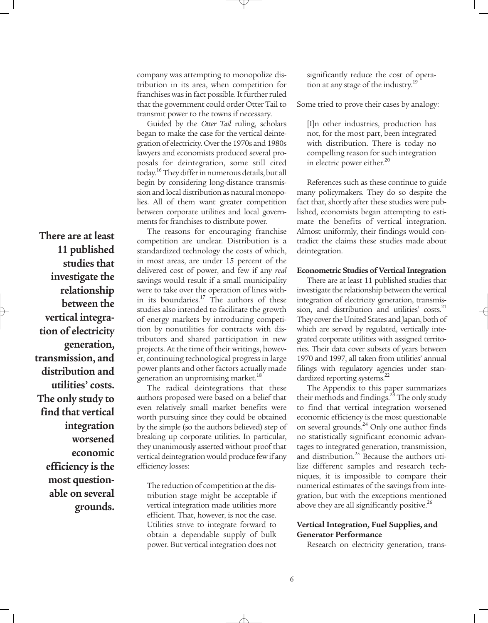**There are at least 11 published studies that investigate the relationship between the vertical integration of electricity generation, transmission, and distribution and utilities' costs. The only study to find that vertical integration worsened economic efficiency is the most questionable on several grounds.** company was attempting to monopolize distribution in its area, when competition for franchises was in fact possible. It further ruled that the government could order Otter Tail to transmit power to the towns if necessary.

Guided by the *Otter Tail* ruling, scholars began to make the case for the vertical deintegration of electricity. Over the 1970s and 1980s lawyers and economists produced several proposals for deintegration, some still cited today.<sup>16</sup> They differ in numerous details, but all begin by considering long-distance transmission and local distribution as natural monopolies. All of them want greater competition between corporate utilities and local governments for franchises to distribute power.

The reasons for encouraging franchise competition are unclear. Distribution is a standardized technology the costs of which, in most areas, are under 15 percent of the delivered cost of power, and few if any *real* savings would result if a small municipality were to take over the operation of lines within its boundaries.<sup>17</sup> The authors of these studies also intended to facilitate the growth of energy markets by introducing competition by nonutilities for contracts with distributors and shared participation in new projects. At the time of their writings, however, continuing technological progress in large power plants and other factors actually made generation an unpromising market.<sup>18</sup>

The radical deintegrations that these authors proposed were based on a belief that even relatively small market benefits were worth pursuing since they could be obtained by the simple (so the authors believed) step of breaking up corporate utilities. In particular, they unanimously asserted without proof that vertical deintegration would produce few if any efficiency losses:

The reduction of competition at the distribution stage might be acceptable if vertical integration made utilities more efficient. That, however, is not the case. Utilities strive to integrate forward to obtain a dependable supply of bulk power. But vertical integration does not

significantly reduce the cost of operation at any stage of the industry.<sup>19</sup>

Some tried to prove their cases by analogy:

[I]n other industries, production has not, for the most part, been integrated with distribution. There is today no compelling reason for such integration in electric power either.<sup>20</sup>

References such as these continue to guide many policymakers. They do so despite the fact that, shortly after these studies were published, economists began attempting to estimate the benefits of vertical integration. Almost uniformly, their findings would contradict the claims these studies made about deintegration.

#### **Econometric Studies of Vertical Integration**

There are at least 11 published studies that investigate the relationship between the vertical integration of electricity generation, transmission, and distribution and utilities' costs. $21$ They cover the United States and Japan, both of which are served by regulated, vertically integrated corporate utilities with assigned territories. Their data cover subsets of years between 1970 and 1997, all taken from utilities' annual filings with regulatory agencies under standardized reporting systems.<sup>22</sup>

The Appendix to this paper summarizes their methods and findings.<sup>23</sup> The only study to find that vertical integration worsened economic efficiency is the most questionable on several grounds.<sup>24</sup> Only one author finds no statistically significant economic advantages to integrated generation, transmission, and distribution.<sup>25</sup> Because the authors utilize different samples and research techniques, it is impossible to compare their numerical estimates of the savings from integration, but with the exceptions mentioned above they are all significantly positive.<sup>26</sup>

#### **Vertical Integration, Fuel Supplies, and Generator Performance**

Research on electricity generation, trans-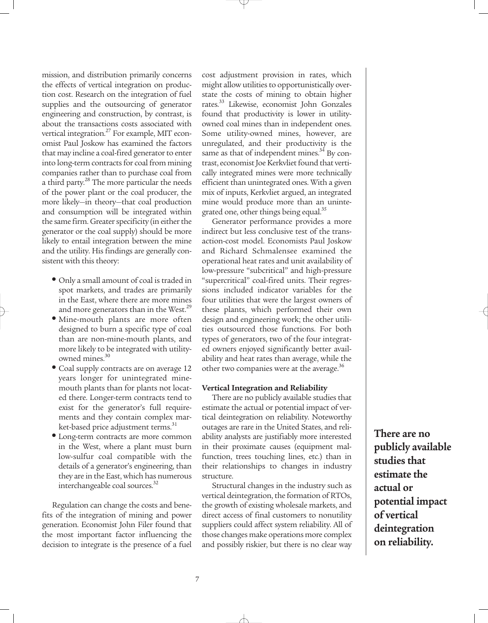mission, and distribution primarily concerns the effects of vertical integration on production cost. Research on the integration of fuel supplies and the outsourcing of generator engineering and construction, by contrast, is about the transactions costs associated with vertical integration.<sup>27</sup> For example, MIT economist Paul Joskow has examined the factors that may incline a coal-fired generator to enter into long-term contracts for coal from mining companies rather than to purchase coal from a third party.<sup>28</sup> The more particular the needs of the power plant or the coal producer, the more likely—in theory—that coal production and consumption will be integrated within the same firm. Greater specificity (in either the generator or the coal supply) should be more likely to entail integration between the mine and the utility. His findings are generally consistent with this theory:

- Only a small amount of coal is traded in spot markets, and trades are primarily in the East, where there are more mines and more generators than in the West.<sup>29</sup>
- Mine-mouth plants are more often designed to burn a specific type of coal than are non-mine-mouth plants, and more likely to be integrated with utilityowned mines.<sup>30</sup>
- Coal supply contracts are on average 12 years longer for unintegrated minemouth plants than for plants not located there. Longer-term contracts tend to exist for the generator's full requirements and they contain complex market-based price adjustment terms.<sup>31</sup>
- Long-term contracts are more common in the West, where a plant must burn low-sulfur coal compatible with the details of a generator's engineering, than they are in the East, which has numerous interchangeable coal sources.<sup>32</sup>

Regulation can change the costs and benefits of the integration of mining and power generation. Economist John Filer found that the most important factor influencing the decision to integrate is the presence of a fuel cost adjustment provision in rates, which might allow utilities to opportunistically overstate the costs of mining to obtain higher rates.33 Likewise, economist John Gonzales found that productivity is lower in utilityowned coal mines than in independent ones. Some utility-owned mines, however, are unregulated, and their productivity is the same as that of independent mines. $34$  By contrast, economist Joe Kerkvliet found that vertically integrated mines were more technically efficient than unintegrated ones. With a given mix of inputs, Kerkvliet argued, an integrated mine would produce more than an unintegrated one, other things being equal.<sup>35</sup>

Generator performance provides a more indirect but less conclusive test of the transaction-cost model. Economists Paul Joskow and Richard Schmalensee examined the operational heat rates and unit availability of low-pressure "subcritical" and high-pressure "supercritical" coal-fired units. Their regressions included indicator variables for the four utilities that were the largest owners of these plants, which performed their own design and engineering work; the other utilities outsourced those functions. For both types of generators, two of the four integrated owners enjoyed significantly better availability and heat rates than average, while the other two companies were at the average.<sup>36</sup>

#### **Vertical Integration and Reliability**

There are no publicly available studies that estimate the actual or potential impact of vertical deintegration on reliability. Noteworthy outages are rare in the United States, and reliability analysts are justifiably more interested in their proximate causes (equipment malfunction, trees touching lines, etc.) than in their relationships to changes in industry structure.

Structural changes in the industry such as vertical deintegration, the formation of RTOs, the growth of existing wholesale markets, and direct access of final customers to nonutility suppliers could affect system reliability. All of those changes make operations more complex and possibly riskier, but there is no clear way

**There are no publicly available studies that estimate the actual or potential impact of vertical deintegration on reliability.**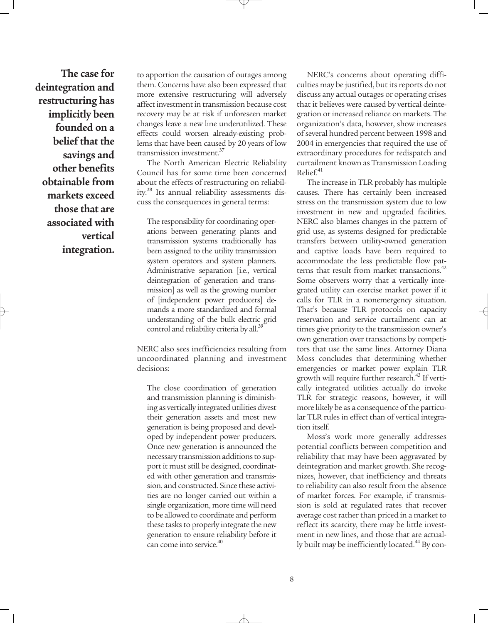**The case for deintegration and restructuring has implicitly been founded on a belief that the savings and other benefits obtainable from markets exceed those that are associated with vertical integration.**

to apportion the causation of outages among them. Concerns have also been expressed that more extensive restructuring will adversely affect investment in transmission because cost recovery may be at risk if unforeseen market changes leave a new line underutilized. These effects could worsen already-existing problems that have been caused by 20 years of low transmission investment.<sup>37</sup>

The North American Electric Reliability Council has for some time been concerned about the effects of restructuring on reliability.<sup>38</sup> Its annual reliability assessments discuss the consequences in general terms:

The responsibility for coordinating operations between generating plants and transmission systems traditionally has been assigned to the utility transmission system operators and system planners. Administrative separation [i.e., vertical deintegration of generation and transmission] as well as the growing number of [independent power producers] demands a more standardized and formal understanding of the bulk electric grid control and reliability criteria by all.<sup>35</sup>

NERC also sees inefficiencies resulting from uncoordinated planning and investment decisions:

The close coordination of generation and transmission planning is diminishing as vertically integrated utilities divest their generation assets and most new generation is being proposed and developed by independent power producers. Once new generation is announced the necessary transmission additions to support it must still be designed, coordinated with other generation and transmission, and constructed. Since these activities are no longer carried out within a single organization, more time will need to be allowed to coordinate and perform these tasks to properly integrate the new generation to ensure reliability before it can come into service.<sup>40</sup>

NERC's concerns about operating difficulties may be justified, but its reports do not discuss any actual outages or operating crises that it believes were caused by vertical deintegration or increased reliance on markets. The organization's data, however, show increases of several hundred percent between 1998 and 2004 in emergencies that required the use of extraordinary procedures for redispatch and curtailment known as Transmission Loading  $Relief.<sup>41</sup>$ 

The increase in TLR probably has multiple causes. There has certainly been increased stress on the transmission system due to low investment in new and upgraded facilities. NERC also blames changes in the pattern of grid use, as systems designed for predictable transfers between utility-owned generation and captive loads have been required to accommodate the less predictable flow patterns that result from market transactions. $42$ Some observers worry that a vertically integrated utility can exercise market power if it calls for TLR in a nonemergency situation. That's because TLR protocols on capacity reservation and service curtailment can at times give priority to the transmission owner's own generation over transactions by competitors that use the same lines. Attorney Diana Moss concludes that determining whether emergencies or market power explain TLR growth will require further research.<sup>43</sup> If vertically integrated utilities actually do invoke TLR for strategic reasons, however, it will more likely be as a consequence of the particular TLR rules in effect than of vertical integration itself.

Moss's work more generally addresses potential conflicts between competition and reliability that may have been aggravated by deintegration and market growth. She recognizes, however, that inefficiency and threats to reliability can also result from the absence of market forces. For example, if transmission is sold at regulated rates that recover average cost rather than priced in a market to reflect its scarcity, there may be little investment in new lines, and those that are actually built may be inefficiently located.<sup>44</sup> By con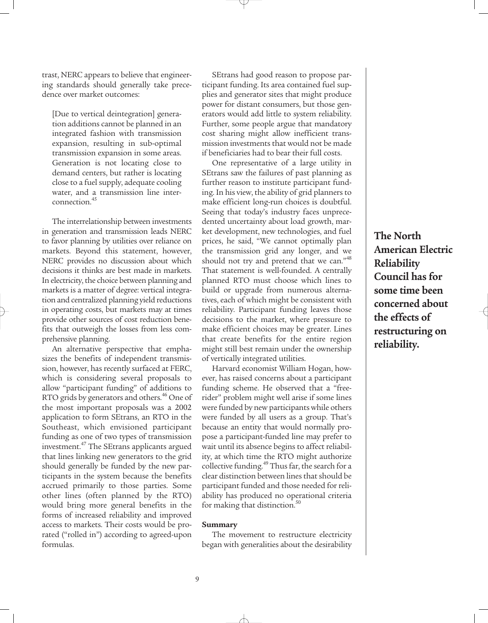trast, NERC appears to believe that engineering standards should generally take precedence over market outcomes:

[Due to vertical deintegration] generation additions cannot be planned in an integrated fashion with transmission expansion, resulting in sub-optimal transmission expansion in some areas. Generation is not locating close to demand centers, but rather is locating close to a fuel supply, adequate cooling water, and a transmission line interconnection.<sup>45</sup>

The interrelationship between investments in generation and transmission leads NERC to favor planning by utilities over reliance on markets. Beyond this statement, however, NERC provides no discussion about which decisions it thinks are best made in markets. In electricity, the choice between planning and markets is a matter of degree: vertical integration and centralized planning yield reductions in operating costs, but markets may at times provide other sources of cost reduction benefits that outweigh the losses from less comprehensive planning.

An alternative perspective that emphasizes the benefits of independent transmission, however, has recently surfaced at FERC, which is considering several proposals to allow "participant funding" of additions to RTO grids by generators and others.<sup>46</sup> One of the most important proposals was a 2002 application to form SEtrans, an RTO in the Southeast, which envisioned participant funding as one of two types of transmission investment.47 The SEtrans applicants argued that lines linking new generators to the grid should generally be funded by the new participants in the system because the benefits accrued primarily to those parties. Some other lines (often planned by the RTO) would bring more general benefits in the forms of increased reliability and improved access to markets. Their costs would be prorated ("rolled in") according to agreed-upon formulas.

SEtrans had good reason to propose participant funding. Its area contained fuel supplies and generator sites that might produce power for distant consumers, but those generators would add little to system reliability. Further, some people argue that mandatory cost sharing might allow inefficient transmission investments that would not be made if beneficiaries had to bear their full costs.

One representative of a large utility in SEtrans saw the failures of past planning as further reason to institute participant funding. In his view, the ability of grid planners to make efficient long-run choices is doubtful. Seeing that today's industry faces unprecedented uncertainty about load growth, market development, new technologies, and fuel prices, he said, "We cannot optimally plan the transmission grid any longer, and we should not try and pretend that we can."<sup>48</sup> That statement is well-founded. A centrally planned RTO must choose which lines to build or upgrade from numerous alternatives, each of which might be consistent with reliability. Participant funding leaves those decisions to the market, where pressure to make efficient choices may be greater. Lines that create benefits for the entire region might still best remain under the ownership of vertically integrated utilities.

Harvard economist William Hogan, however, has raised concerns about a participant funding scheme. He observed that a "freerider" problem might well arise if some lines were funded by new participants while others were funded by all users as a group. That's because an entity that would normally propose a participant-funded line may prefer to wait until its absence begins to affect reliability, at which time the RTO might authorize collective funding.<sup>49</sup> Thus far, the search for a clear distinction between lines that should be participant funded and those needed for reliability has produced no operational criteria for making that distinction. $50$ 

#### **Summary**

The movement to restructure electricity began with generalities about the desirability

**The North American Electric Reliability Council has for some time been concerned about the effects of restructuring on reliability.**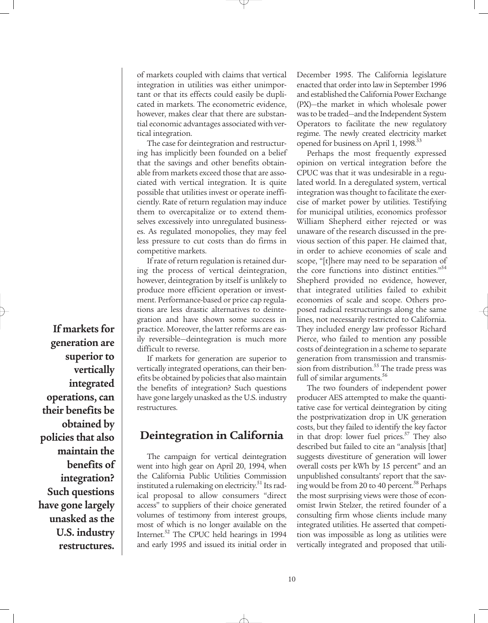of markets coupled with claims that vertical integration in utilities was either unimportant or that its effects could easily be duplicated in markets. The econometric evidence, however, makes clear that there are substantial economic advantages associated with vertical integration.

The case for deintegration and restructuring has implicitly been founded on a belief that the savings and other benefits obtainable from markets exceed those that are associated with vertical integration. It is quite possible that utilities invest or operate inefficiently. Rate of return regulation may induce them to overcapitalize or to extend themselves excessively into unregulated businesses. As regulated monopolies, they may feel less pressure to cut costs than do firms in competitive markets.

If rate of return regulation is retained during the process of vertical deintegration, however, deintegration by itself is unlikely to produce more efficient operation or investment. Performance-based or price cap regulations are less drastic alternatives to deintegration and have shown some success in practice. Moreover, the latter reforms are easily reversible—deintegration is much more difficult to reverse.

If markets for generation are superior to vertically integrated operations, can their benefits be obtained by policies that also maintain the benefits of integration? Such questions have gone largely unasked as the U.S. industry restructures.

### **Deintegration in California**

The campaign for vertical deintegration went into high gear on April 20, 1994, when the California Public Utilities Commission instituted a rulemaking on electricity.<sup>51</sup> Its radical proposal to allow consumers "direct access" to suppliers of their choice generated volumes of testimony from interest groups, most of which is no longer available on the Internet.<sup>52</sup> The CPUC held hearings in 1994 and early 1995 and issued its initial order in December 1995. The California legislature enacted that order into law in September 1996 and established the California Power Exchange (PX)—the market in which wholesale power was to be traded—and the Independent System Operators to facilitate the new regulatory regime. The newly created electricity market opened for business on April 1, 1998.<sup>53</sup>

Perhaps the most frequently expressed opinion on vertical integration before the CPUC was that it was undesirable in a regulated world. In a deregulated system, vertical integration was thought to facilitate the exercise of market power by utilities. Testifying for municipal utilities, economics professor William Shepherd either rejected or was unaware of the research discussed in the previous section of this paper. He claimed that, in order to achieve economies of scale and scope, "[t]here may need to be separation of the core functions into distinct entities."<sup>54</sup> Shepherd provided no evidence, however, that integrated utilities failed to exhibit economies of scale and scope. Others proposed radical restructurings along the same lines, not necessarily restricted to California. They included energy law professor Richard Pierce, who failed to mention any possible costs of deintegration in a scheme to separate generation from transmission and transmission from distribution.<sup>55</sup> The trade press was full of similar arguments.<sup>56</sup>

The two founders of independent power producer AES attempted to make the quantitative case for vertical deintegration by citing the postprivatization drop in UK generation costs, but they failed to identify the key factor in that drop: lower fuel prices.<sup>57</sup> They also described but failed to cite an "analysis [that] suggests divestiture of generation will lower overall costs per kWh by 15 percent" and an unpublished consultants' report that the saving would be from 20 to 40 percent.<sup>58</sup> Perhaps the most surprising views were those of economist Irwin Stelzer, the retired founder of a consulting firm whose clients include many integrated utilities. He asserted that competition was impossible as long as utilities were vertically integrated and proposed that utili-

**generation are superior to vertically integrated operations, can their benefits be obtained by policies that also maintain the benefits of integration? Such questions have gone largely unasked as the U.S. industry restructures.** 

**If markets for**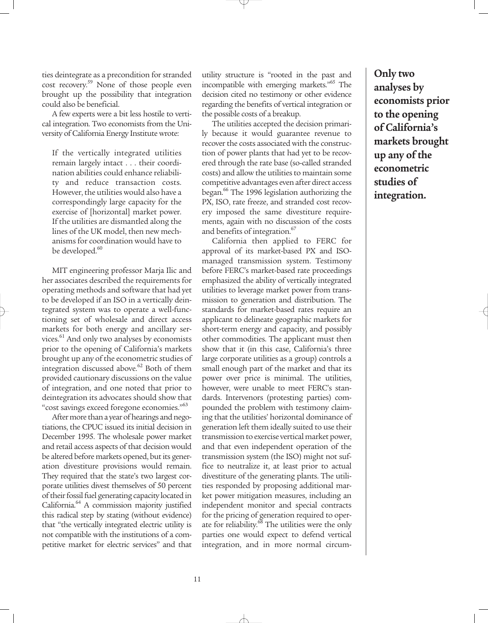ties deintegrate as a precondition for stranded cost recovery.<sup>59</sup> None of those people even brought up the possibility that integration could also be beneficial.

A few experts were a bit less hostile to vertical integration. Two economists from the University of California Energy Institute wrote:

If the vertically integrated utilities remain largely intact . . . their coordination abilities could enhance reliability and reduce transaction costs. However, the utilities would also have a correspondingly large capacity for the exercise of [horizontal] market power. If the utilities are dismantled along the lines of the UK model, then new mechanisms for coordination would have to be developed.<sup>60</sup>

MIT engineering professor Marja Ilic and her associates described the requirements for operating methods and software that had yet to be developed if an ISO in a vertically deintegrated system was to operate a well-functioning set of wholesale and direct access markets for both energy and ancillary services.<sup>61</sup> And only two analyses by economists prior to the opening of California's markets brought up any of the econometric studies of integration discussed above. $62$  Both of them provided cautionary discussions on the value of integration, and one noted that prior to deintegration its advocates should show that "cost savings exceed foregone economies."<sup>63</sup>

After more than a year of hearings and negotiations, the CPUC issued its initial decision in December 1995. The wholesale power market and retail access aspects of that decision would be altered before markets opened, but its generation divestiture provisions would remain. They required that the state's two largest corporate utilities divest themselves of 50 percent of their fossil fuel generating capacity located in California.<sup>64</sup> A commission majority justified this radical step by stating (without evidence) that "the vertically integrated electric utility is not compatible with the institutions of a competitive market for electric services" and that utility structure is "rooted in the past and incompatible with emerging markets."<sup>65</sup> The decision cited no testimony or other evidence regarding the benefits of vertical integration or the possible costs of a breakup.

The utilities accepted the decision primarily because it would guarantee revenue to recover the costs associated with the construction of power plants that had yet to be recovered through the rate base (so-called stranded costs) and allow the utilities to maintain some competitive advantages even after direct access began.66 The 1996 legislation authorizing the PX, ISO, rate freeze, and stranded cost recovery imposed the same divestiture requirements, again with no discussion of the costs and benefits of integration.<sup>67</sup>

California then applied to FERC for approval of its market-based PX and ISOmanaged transmission system. Testimony before FERC's market-based rate proceedings emphasized the ability of vertically integrated utilities to leverage market power from transmission to generation and distribution. The standards for market-based rates require an applicant to delineate geographic markets for short-term energy and capacity, and possibly other commodities. The applicant must then show that it (in this case, California's three large corporate utilities as a group) controls a small enough part of the market and that its power over price is minimal. The utilities, however, were unable to meet FERC's standards. Intervenors (protesting parties) compounded the problem with testimony claiming that the utilities' horizontal dominance of generation left them ideally suited to use their transmission to exercise vertical market power, and that even independent operation of the transmission system (the ISO) might not suffice to neutralize it, at least prior to actual divestiture of the generating plants. The utilities responded by proposing additional market power mitigation measures, including an independent monitor and special contracts for the pricing of generation required to operate for reliability.<sup>68</sup> The utilities were the only parties one would expect to defend vertical integration, and in more normal circum-

**Only two analyses by economists prior to the opening of California's markets brought up any of the econometric studies of integration.**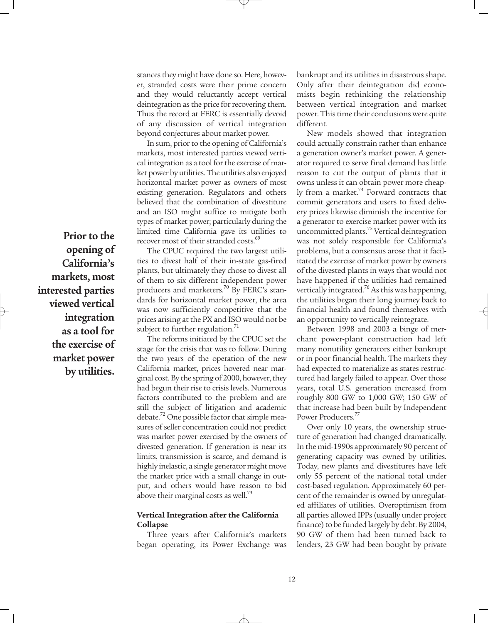**Prior to the opening of California's markets, most interested parties viewed vertical integration as a tool for the exercise of market power by utilities.** 

stances they might have done so. Here, however, stranded costs were their prime concern and they would reluctantly accept vertical deintegration as the price for recovering them. Thus the record at FERC is essentially devoid of any discussion of vertical integration beyond conjectures about market power.

In sum, prior to the opening of California's markets, most interested parties viewed vertical integration as a tool for the exercise of market power by utilities. The utilities also enjoyed horizontal market power as owners of most existing generation. Regulators and others believed that the combination of divestiture and an ISO might suffice to mitigate both types of market power; particularly during the limited time California gave its utilities to recover most of their stranded costs.<sup>69</sup>

The CPUC required the two largest utilities to divest half of their in-state gas-fired plants, but ultimately they chose to divest all of them to six different independent power producers and marketers.<sup>70</sup> By FERC's standards for horizontal market power, the area was now sufficiently competitive that the prices arising at the PX and ISO would not be subject to further regulation. $71$ 

The reforms initiated by the CPUC set the stage for the crisis that was to follow. During the two years of the operation of the new California market, prices hovered near marginal cost. By the spring of 2000, however, they had begun their rise to crisis levels. Numerous factors contributed to the problem and are still the subject of litigation and academic debate.<sup>72</sup> One possible factor that simple measures of seller concentration could not predict was market power exercised by the owners of divested generation. If generation is near its limits, transmission is scarce, and demand is highly inelastic, a single generator might move the market price with a small change in output, and others would have reason to bid above their marginal costs as well.<sup>73</sup>

#### **Vertical Integration after the California Collapse**

Three years after California's markets began operating, its Power Exchange was bankrupt and its utilities in disastrous shape. Only after their deintegration did economists begin rethinking the relationship between vertical integration and market power. This time their conclusions were quite different.

New models showed that integration could actually constrain rather than enhance a generation owner's market power. A generator required to serve final demand has little reason to cut the output of plants that it owns unless it can obtain power more cheaply from a market.<sup>74</sup> Forward contracts that commit generators and users to fixed delivery prices likewise diminish the incentive for a generator to exercise market power with its uncommitted plants.<sup>75</sup> Vertical deintegration was not solely responsible for California's problems, but a consensus arose that it facilitated the exercise of market power by owners of the divested plants in ways that would not have happened if the utilities had remained vertically integrated.<sup>76</sup> As this was happening, the utilities began their long journey back to financial health and found themselves with an opportunity to vertically reintegrate.

Between 1998 and 2003 a binge of merchant power-plant construction had left many nonutility generators either bankrupt or in poor financial health. The markets they had expected to materialize as states restructured had largely failed to appear. Over those years, total U.S. generation increased from roughly 800 GW to 1,000 GW; 150 GW of that increase had been built by Independent Power Producers.<sup>77</sup>

Over only 10 years, the ownership structure of generation had changed dramatically. In the mid-1990s approximately 90 percent of generating capacity was owned by utilities. Today, new plants and divestitures have left only 55 percent of the national total under cost-based regulation. Approximately 60 percent of the remainder is owned by unregulated affiliates of utilities. Overoptimism from all parties allowed IPPs (usually under project finance) to be funded largely by debt. By 2004, 90 GW of them had been turned back to lenders, 23 GW had been bought by private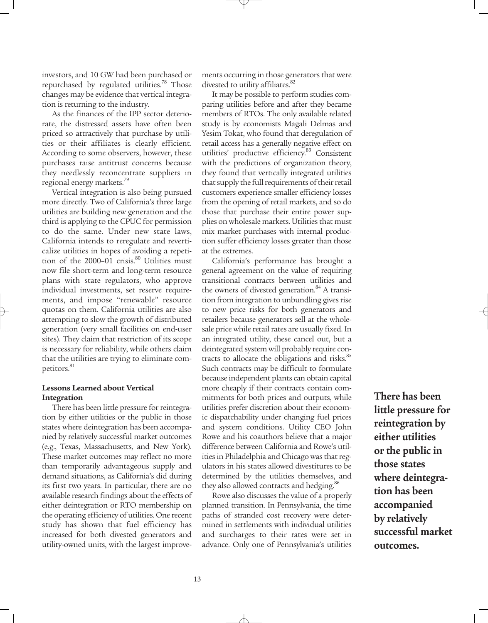investors, and 10 GW had been purchased or repurchased by regulated utilities.<sup>78</sup> Those changes may be evidence that vertical integration is returning to the industry.

As the finances of the IPP sector deteriorate, the distressed assets have often been priced so attractively that purchase by utilities or their affiliates is clearly efficient. According to some observers, however, these purchases raise antitrust concerns because they needlessly reconcentrate suppliers in regional energy markets.<sup>79</sup>

Vertical integration is also being pursued more directly. Two of California's three large utilities are building new generation and the third is applying to the CPUC for permission to do the same. Under new state laws, California intends to reregulate and reverticalize utilities in hopes of avoiding a repetition of the 2000-01 crisis.<sup>80</sup> Utilities must now file short-term and long-term resource plans with state regulators, who approve individual investments, set reserve requirements, and impose "renewable" resource quotas on them. California utilities are also attempting to slow the growth of distributed generation (very small facilities on end-user sites). They claim that restriction of its scope is necessary for reliability, while others claim that the utilities are trying to eliminate competitors.<sup>81</sup>

#### **Lessons Learned about Vertical Integration**

There has been little pressure for reintegration by either utilities or the public in those states where deintegration has been accompanied by relatively successful market outcomes (e.g., Texas, Massachusetts, and New York). These market outcomes may reflect no more than temporarily advantageous supply and demand situations, as California's did during its first two years. In particular, there are no available research findings about the effects of either deintegration or RTO membership on the operating efficiency of utilities. One recent study has shown that fuel efficiency has increased for both divested generators and utility-owned units, with the largest improvements occurring in those generators that were divested to utility affiliates.<sup>82</sup>

It may be possible to perform studies comparing utilities before and after they became members of RTOs. The only available related study is by economists Magali Delmas and Yesim Tokat, who found that deregulation of retail access has a generally negative effect on utilities' productive efficiency.<sup>83</sup> Consistent with the predictions of organization theory, they found that vertically integrated utilities that supply the full requirements of their retail customers experience smaller efficiency losses from the opening of retail markets, and so do those that purchase their entire power supplies on wholesale markets. Utilities that must mix market purchases with internal production suffer efficiency losses greater than those at the extremes.

California's performance has brought a general agreement on the value of requiring transitional contracts between utilities and the owners of divested generation.<sup>84</sup> A transition from integration to unbundling gives rise to new price risks for both generators and retailers because generators sell at the wholesale price while retail rates are usually fixed. In an integrated utility, these cancel out, but a deintegrated system will probably require contracts to allocate the obligations and risks.<sup>85</sup> Such contracts may be difficult to formulate because independent plants can obtain capital more cheaply if their contracts contain commitments for both prices and outputs, while utilities prefer discretion about their economic dispatchability under changing fuel prices and system conditions. Utility CEO John Rowe and his coauthors believe that a major difference between California and Rowe's utilities in Philadelphia and Chicago was that regulators in his states allowed divestitures to be determined by the utilities themselves, and they also allowed contracts and hedging.<sup>86</sup>

Rowe also discusses the value of a properly planned transition. In Pennsylvania, the time paths of stranded cost recovery were determined in settlements with individual utilities and surcharges to their rates were set in advance. Only one of Pennsylvania's utilities

**There has been little pressure for reintegration by either utilities or the public in those states where deintegration has been accompanied by relatively successful market outcomes.**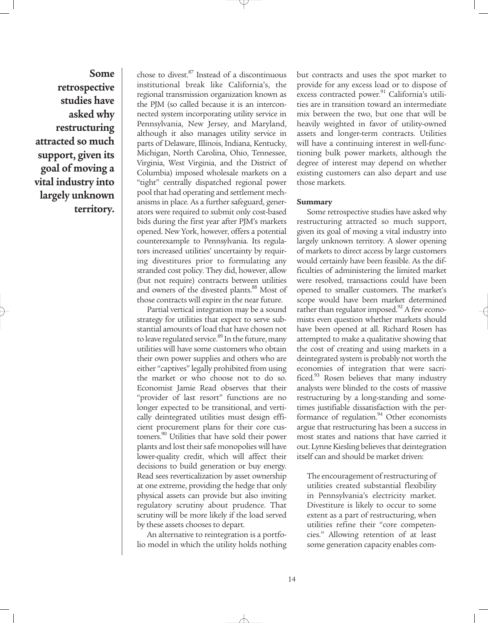**Some retrospective studies have asked why restructuring attracted so much support, given its goal of moving a vital industry into largely unknown territory.** chose to divest.87 Instead of a discontinuous institutional break like California's, the regional transmission organization known as the PJM (so called because it is an interconnected system incorporating utility service in Pennsylvania, New Jersey, and Maryland, although it also manages utility service in parts of Delaware, Illinois, Indiana, Kentucky, Michigan, North Carolina, Ohio, Tennessee, Virginia, West Virginia, and the District of Columbia) imposed wholesale markets on a "tight" centrally dispatched regional power pool that had operating and settlement mechanisms in place. As a further safeguard, generators were required to submit only cost-based bids during the first year after PJM's markets opened. New York, however, offers a potential counterexample to Pennsylvania. Its regulators increased utilities' uncertainty by requiring divestitures prior to formulating any stranded cost policy. They did, however, allow (but not require) contracts between utilities and owners of the divested plants.<sup>88</sup> Most of those contracts will expire in the near future.

Partial vertical integration may be a sound strategy for utilities that expect to serve substantial amounts of load that have chosen not to leave regulated service.<sup>89</sup> In the future, many utilities will have some customers who obtain their own power supplies and others who are either "captives" legally prohibited from using the market or who choose not to do so. Economist Jamie Read observes that their "provider of last resort" functions are no longer expected to be transitional, and vertically deintegrated utilities must design efficient procurement plans for their core customers.<sup>90</sup> Utilities that have sold their power plants and lost their safe monopolies will have lower-quality credit, which will affect their decisions to build generation or buy energy. Read sees reverticalization by asset ownership at one extreme, providing the hedge that only physical assets can provide but also inviting regulatory scrutiny about prudence. That scrutiny will be more likely if the load served by these assets chooses to depart.

An alternative to reintegration is a portfolio model in which the utility holds nothing but contracts and uses the spot market to provide for any excess load or to dispose of excess contracted power.<sup>91</sup> California's utilities are in transition toward an intermediate mix between the two, but one that will be heavily weighted in favor of utility-owned assets and longer-term contracts. Utilities will have a continuing interest in well-functioning bulk power markets, although the degree of interest may depend on whether existing customers can also depart and use those markets.

#### **Summary**

Some retrospective studies have asked why restructuring attracted so much support, given its goal of moving a vital industry into largely unknown territory. A slower opening of markets to direct access by large customers would certainly have been feasible. As the difficulties of administering the limited market were resolved, transactions could have been opened to smaller customers. The market's scope would have been market determined rather than regulator imposed. $92$  A few economists even question whether markets should have been opened at all. Richard Rosen has attempted to make a qualitative showing that the cost of creating and using markets in a deintegrated system is probably not worth the economies of integration that were sacrificed.<sup>93</sup> Rosen believes that many industry analysts were blinded to the costs of massive restructuring by a long-standing and sometimes justifiable dissatisfaction with the performance of regulation.<sup>94</sup> Other economists argue that restructuring has been a success in most states and nations that have carried it out. Lynne Kiesling believes that deintegration itself can and should be market driven:

The encouragement of restructuring of utilities created substantial flexibility in Pennsylvania's electricity market. Divestiture is likely to occur to some extent as a part of restructuring, when utilities refine their "core competencies." Allowing retention of at least some generation capacity enables com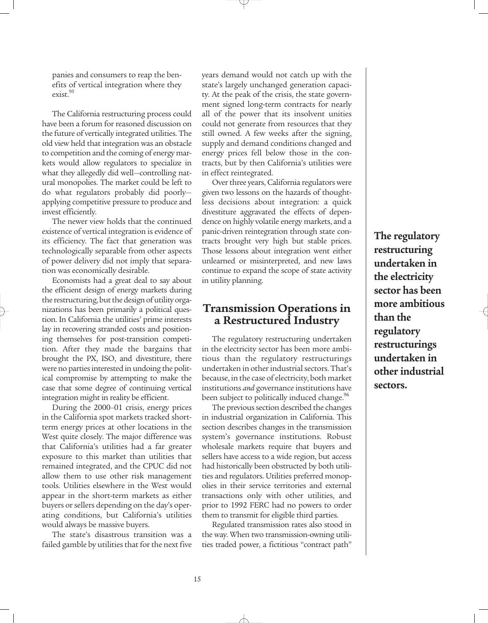panies and consumers to reap the benefits of vertical integration where they exist.<sup>95</sup>

The California restructuring process could have been a forum for reasoned discussion on the future of vertically integrated utilities. The old view held that integration was an obstacle to competition and the coming of energy markets would allow regulators to specialize in what they allegedly did well—controlling natural monopolies. The market could be left to do what regulators probably did poorly applying competitive pressure to produce and invest efficiently.

The newer view holds that the continued existence of vertical integration is evidence of its efficiency. The fact that generation was technologically separable from other aspects of power delivery did not imply that separation was economically desirable.

Economists had a great deal to say about the efficient design of energy markets during the restructuring, but the design of utility organizations has been primarily a political question. In California the utilities' prime interests lay in recovering stranded costs and positioning themselves for post-transition competition. After they made the bargains that brought the PX, ISO, and divestiture, there were no parties interested in undoing the political compromise by attempting to make the case that some degree of continuing vertical integration might in reality be efficient.

During the 2000–01 crisis, energy prices in the California spot markets tracked shortterm energy prices at other locations in the West quite closely. The major difference was that California's utilities had a far greater exposure to this market than utilities that remained integrated, and the CPUC did not allow them to use other risk management tools. Utilities elsewhere in the West would appear in the short-term markets as either buyers or sellers depending on the day's operating conditions, but California's utilities would always be massive buyers.

The state's disastrous transition was a failed gamble by utilities that for the next five years demand would not catch up with the state's largely unchanged generation capacity. At the peak of the crisis, the state government signed long-term contracts for nearly all of the power that its insolvent unities could not generate from resources that they still owned. A few weeks after the signing, supply and demand conditions changed and energy prices fell below those in the contracts, but by then California's utilities were in effect reintegrated.

Over three years, California regulators were given two lessons on the hazards of thoughtless decisions about integration: a quick divestiture aggravated the effects of dependence on highly volatile energy markets, and a panic-driven reintegration through state contracts brought very high but stable prices. Those lessons about integration went either unlearned or misinterpreted, and new laws continue to expand the scope of state activity in utility planning.

## **Transmission Operations in a Restructured Industry**

The regulatory restructuring undertaken in the electricity sector has been more ambitious than the regulatory restructurings undertaken in other industrial sectors. That's because, in the case of electricity, both market institutions *and* governance institutions have been subject to politically induced change.<sup>96</sup>

The previous section described the changes in industrial organization in California. This section describes changes in the transmission system's governance institutions. Robust wholesale markets require that buyers and sellers have access to a wide region, but access had historically been obstructed by both utilities and regulators. Utilities preferred monopolies in their service territories and external transactions only with other utilities, and prior to 1992 FERC had no powers to order them to transmit for eligible third parties.

Regulated transmission rates also stood in the way. When two transmission-owning utilities traded power, a fictitious "contract path"

**The regulatory restructuring undertaken in the electricity sector has been more ambitious than the regulatory restructurings undertaken in other industrial sectors.**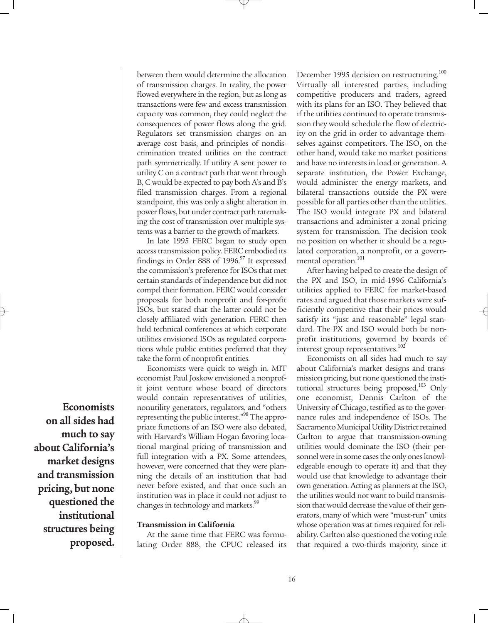between them would determine the allocation of transmission charges. In reality, the power flowed everywhere in the region, but as long as transactions were few and excess transmission capacity was common, they could neglect the consequences of power flows along the grid. Regulators set transmission charges on an average cost basis, and principles of nondiscrimination treated utilities on the contract path symmetrically. If utility A sent power to utility C on a contract path that went through B, C would be expected to pay both A's and B's filed transmission charges. From a regional standpoint, this was only a slight alteration in power flows, but under contract path ratemaking the cost of transmission over multiple systems was a barrier to the growth of markets.

In late 1995 FERC began to study open access transmission policy. FERC embodied its findings in Order 888 of  $1996.97$  It expressed the commission's preference for ISOs that met certain standards of independence but did not compel their formation. FERC would consider proposals for both nonprofit and for-profit ISOs, but stated that the latter could not be closely affiliated with generation. FERC then held technical conferences at which corporate utilities envisioned ISOs as regulated corporations while public entities preferred that they take the form of nonprofit entities.

Economists were quick to weigh in. MIT economist Paul Joskow envisioned a nonprofit joint venture whose board of directors would contain representatives of utilities, nonutility generators, regulators, and "others representing the public interest."<sup>98</sup> The appropriate functions of an ISO were also debated, with Harvard's William Hogan favoring locational marginal pricing of transmission and full integration with a PX. Some attendees, however, were concerned that they were planning the details of an institution that had never before existed, and that once such an institution was in place it could not adjust to changes in technology and markets.<sup>99</sup>

#### **Transmission in California**

At the same time that FERC was formulating Order 888, the CPUC released its December 1995 decision on restructuring.<sup>100</sup> Virtually all interested parties, including competitive producers and traders, agreed with its plans for an ISO. They believed that if the utilities continued to operate transmission they would schedule the flow of electricity on the grid in order to advantage themselves against competitors. The ISO, on the other hand, would take no market positions and have no interests in load or generation. A separate institution, the Power Exchange, would administer the energy markets, and bilateral transactions outside the PX were possible for all parties other than the utilities. The ISO would integrate PX and bilateral transactions and administer a zonal pricing system for transmission. The decision took no position on whether it should be a regulated corporation, a nonprofit, or a governmental operation.<sup>101</sup>

After having helped to create the design of the PX and ISO, in mid-1996 California's utilities applied to FERC for market-based rates and argued that those markets were sufficiently competitive that their prices would satisfy its "just and reasonable" legal standard. The PX and ISO would both be nonprofit institutions, governed by boards of interest group representatives.<sup>102</sup>

Economists on all sides had much to say about California's market designs and transmission pricing, but none questioned the institutional structures being proposed.<sup>103</sup> Only one economist, Dennis Carlton of the University of Chicago, testified as to the governance rules and independence of ISOs. The Sacramento Municipal Utility District retained Carlton to argue that transmission-owning utilities would dominate the ISO (their personnel were in some cases the only ones knowledgeable enough to operate it) and that they would use that knowledge to advantage their own generation. Acting as planners at the ISO, the utilities would not want to build transmission that would decrease the value of their generators, many of which were "must-run" units whose operation was at times required for reliability. Carlton also questioned the voting rule that required a two-thirds majority, since it

**on all sides had much to say about California's market designs and transmission pricing, but none questioned the institutional structures being proposed.**

**Economists**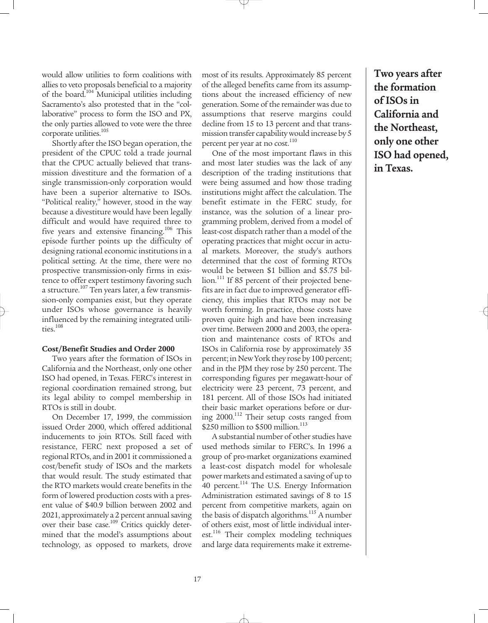would allow utilities to form coalitions with allies to veto proposals beneficial to a majority of the board.<sup>104</sup> Municipal utilities including Sacramento's also protested that in the "collaborative" process to form the ISO and PX, the only parties allowed to vote were the three corporate utilities.<sup>105</sup>

Shortly after the ISO began operation, the president of the CPUC told a trade journal that the CPUC actually believed that transmission divestiture and the formation of a single transmission-only corporation would have been a superior alternative to ISOs. "Political reality," however, stood in the way because a divestiture would have been legally difficult and would have required three to five years and extensive financing.<sup>106</sup> This episode further points up the difficulty of designing rational economic institutions in a political setting. At the time, there were no prospective transmission-only firms in existence to offer expert testimony favoring such a structure.<sup>107</sup> Ten years later, a few transmission-only companies exist, but they operate under ISOs whose governance is heavily influenced by the remaining integrated utilities.<sup>108</sup>

#### **Cost/Benefit Studies and Order 2000**

Two years after the formation of ISOs in California and the Northeast, only one other ISO had opened, in Texas. FERC's interest in regional coordination remained strong, but its legal ability to compel membership in RTOs is still in doubt.

On December 17, 1999, the commission issued Order 2000, which offered additional inducements to join RTOs. Still faced with resistance, FERC next proposed a set of regional RTOs, and in 2001 it commissioned a cost/benefit study of ISOs and the markets that would result. The study estimated that the RTO markets would create benefits in the form of lowered production costs with a present value of \$40.9 billion between 2002 and 2021, approximately a 2 percent annual saving over their base case.<sup>109</sup> Critics quickly determined that the model's assumptions about technology, as opposed to markets, drove

most of its results. Approximately 85 percent of the alleged benefits came from its assumptions about the increased efficiency of new generation. Some of the remainder was due to assumptions that reserve margins could decline from 15 to 13 percent and that transmission transfer capability would increase by 5 percent per year at no cost.<sup>110</sup>

One of the most important flaws in this and most later studies was the lack of any description of the trading institutions that were being assumed and how those trading institutions might affect the calculation. The benefit estimate in the FERC study, for instance, was the solution of a linear programming problem, derived from a model of least-cost dispatch rather than a model of the operating practices that might occur in actual markets. Moreover, the study's authors determined that the cost of forming RTOs would be between \$1 billion and \$5.75 billion.<sup>111</sup> If 85 percent of their projected benefits are in fact due to improved generator efficiency, this implies that RTOs may not be worth forming. In practice, those costs have proven quite high and have been increasing over time. Between 2000 and 2003, the operation and maintenance costs of RTOs and ISOs in California rose by approximately 35 percent; in New York they rose by 100 percent; and in the PJM they rose by 250 percent. The corresponding figures per megawatt-hour of electricity were 23 percent, 73 percent, and 181 percent. All of those ISOs had initiated their basic market operations before or during 2000.<sup>112</sup> Their setup costs ranged from \$250 million to \$500 million.<sup>113</sup>

A substantial number of other studies have used methods similar to FERC's. In 1996 a group of pro-market organizations examined a least-cost dispatch model for wholesale power markets and estimated a saving of up to 40 percent.<sup>114</sup> The U.S. Energy Information Administration estimated savings of 8 to 15 percent from competitive markets, again on the basis of dispatch algorithms.<sup>115</sup> A number of others exist, most of little individual interest.<sup>116</sup> Their complex modeling techniques and large data requirements make it extreme**Two years after the formation of ISOs in California and the Northeast, only one other ISO had opened, in Texas.**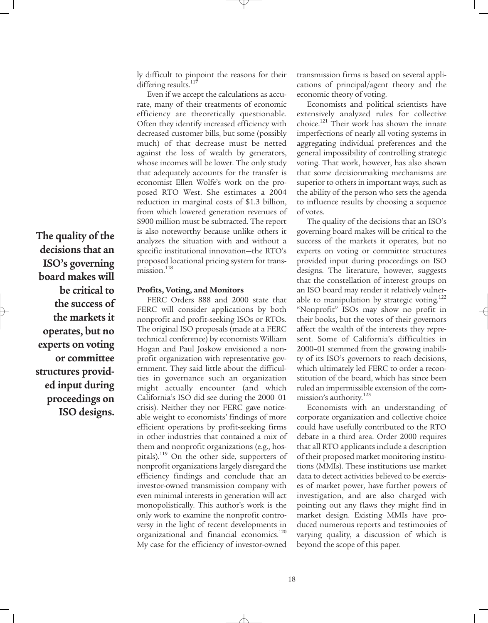**The quality of the decisions that an ISO's governing board makes will be critical to the success of the markets it operates, but no experts on voting or committee structures provided input during proceedings on ISO designs.** ly difficult to pinpoint the reasons for their differing results.<sup>117</sup>

Even if we accept the calculations as accurate, many of their treatments of economic efficiency are theoretically questionable. Often they identify increased efficiency with decreased customer bills, but some (possibly much) of that decrease must be netted against the loss of wealth by generators, whose incomes will be lower. The only study that adequately accounts for the transfer is economist Ellen Wolfe's work on the proposed RTO West. She estimates a 2004 reduction in marginal costs of \$1.3 billion, from which lowered generation revenues of \$900 million must be subtracted. The report is also noteworthy because unlike others it analyzes the situation with and without a specific institutional innovation—the RTO's proposed locational pricing system for trans $mission.<sup>118</sup>$ 

#### **Profits, Voting, and Monitors**

FERC Orders 888 and 2000 state that FERC will consider applications by both nonprofit and profit-seeking ISOs or RTOs. The original ISO proposals (made at a FERC technical conference) by economists William Hogan and Paul Joskow envisioned a nonprofit organization with representative government. They said little about the difficulties in governance such an organization might actually encounter (and which California's ISO did see during the 2000–01 crisis). Neither they nor FERC gave noticeable weight to economists' findings of more efficient operations by profit-seeking firms in other industries that contained a mix of them and nonprofit organizations (e.g., hospitals).<sup>119</sup> On the other side, supporters of nonprofit organizations largely disregard the efficiency findings and conclude that an investor-owned transmission company with even minimal interests in generation will act monopolistically. This author's work is the only work to examine the nonprofit controversy in the light of recent developments in organizational and financial economics.<sup>120</sup> My case for the efficiency of investor-owned

transmission firms is based on several applications of principal/agent theory and the economic theory of voting.

Economists and political scientists have extensively analyzed rules for collective choice.<sup>121</sup> Their work has shown the innate imperfections of nearly all voting systems in aggregating individual preferences and the general impossibility of controlling strategic voting. That work, however, has also shown that some decisionmaking mechanisms are superior to others in important ways, such as the ability of the person who sets the agenda to influence results by choosing a sequence of votes.

The quality of the decisions that an ISO's governing board makes will be critical to the success of the markets it operates, but no experts on voting or committee structures provided input during proceedings on ISO designs. The literature, however, suggests that the constellation of interest groups on an ISO board may render it relatively vulnerable to manipulation by strategic voting.<sup>122</sup> "Nonprofit" ISOs may show no profit in their books, but the votes of their governors affect the wealth of the interests they represent. Some of California's difficulties in 2000–01 stemmed from the growing inability of its ISO's governors to reach decisions, which ultimately led FERC to order a reconstitution of the board, which has since been ruled an impermissible extension of the commission's authority. $^{123}$ 

Economists with an understanding of corporate organization and collective choice could have usefully contributed to the RTO debate in a third area. Order 2000 requires that all RTO applicants include a description of their proposed market monitoring institutions (MMIs). These institutions use market data to detect activities believed to be exercises of market power, have further powers of investigation, and are also charged with pointing out any flaws they might find in market design. Existing MMIs have produced numerous reports and testimonies of varying quality, a discussion of which is beyond the scope of this paper.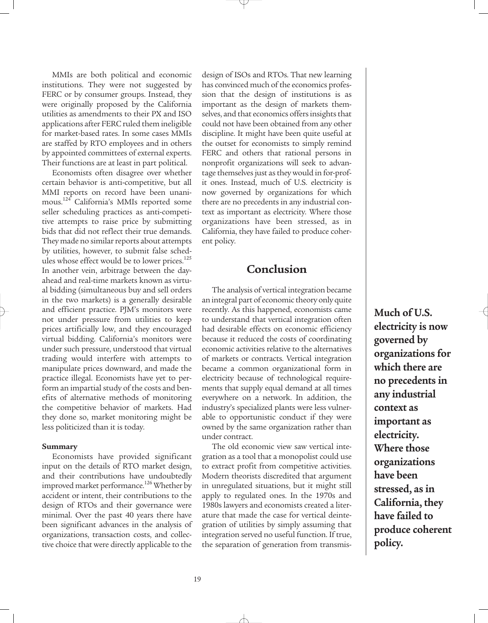MMIs are both political and economic institutions. They were not suggested by FERC or by consumer groups. Instead, they were originally proposed by the California utilities as amendments to their PX and ISO applications after FERC ruled them ineligible for market-based rates. In some cases MMIs are staffed by RTO employees and in others by appointed committees of external experts. Their functions are at least in part political.

Economists often disagree over whether certain behavior is anti-competitive, but all MMI reports on record have been unanimous. <sup>124</sup> California's MMIs reported some seller scheduling practices as anti-competitive attempts to raise price by submitting bids that did not reflect their true demands. They made no similar reports about attempts by utilities, however, to submit false schedules whose effect would be to lower prices.<sup>125</sup> In another vein, arbitrage between the dayahead and real-time markets known as virtual bidding (simultaneous buy and sell orders in the two markets) is a generally desirable and efficient practice. PJM's monitors were not under pressure from utilities to keep prices artificially low, and they encouraged virtual bidding. California's monitors were under such pressure, understood that virtual trading would interfere with attempts to manipulate prices downward, and made the practice illegal. Economists have yet to perform an impartial study of the costs and benefits of alternative methods of monitoring the competitive behavior of markets. Had they done so, market monitoring might be less politicized than it is today.

#### **Summary**

Economists have provided significant input on the details of RTO market design, and their contributions have undoubtedly improved market performance.<sup>126</sup> Whether by accident or intent, their contributions to the design of RTOs and their governance were minimal. Over the past 40 years there have been significant advances in the analysis of organizations, transaction costs, and collective choice that were directly applicable to the

design of ISOs and RTOs. That new learning has convinced much of the economics profession that the design of institutions is as important as the design of markets themselves, and that economics offers insights that could not have been obtained from any other discipline. It might have been quite useful at the outset for economists to simply remind FERC and others that rational persons in nonprofit organizations will seek to advantage themselves just as they would in for-profit ones. Instead, much of U.S. electricity is now governed by organizations for which there are no precedents in any industrial context as important as electricity. Where those organizations have been stressed, as in California, they have failed to produce coherent policy.

## **Conclusion**

The analysis of vertical integration became an integral part of economic theory only quite recently. As this happened, economists came to understand that vertical integration often had desirable effects on economic efficiency because it reduced the costs of coordinating economic activities relative to the alternatives of markets or contracts. Vertical integration became a common organizational form in electricity because of technological requirements that supply equal demand at all times everywhere on a network. In addition, the industry's specialized plants were less vulnerable to opportunistic conduct if they were owned by the same organization rather than under contract.

The old economic view saw vertical integration as a tool that a monopolist could use to extract profit from competitive activities. Modern theorists discredited that argument in unregulated situations, but it might still apply to regulated ones. In the 1970s and 1980s lawyers and economists created a literature that made the case for vertical deintegration of utilities by simply assuming that integration served no useful function. If true, the separation of generation from transmis**Much of U.S. electricity is now governed by organizations for which there are no precedents in any industrial context as important as electricity. Where those organizations have been stressed, as in California, they have failed to produce coherent policy.**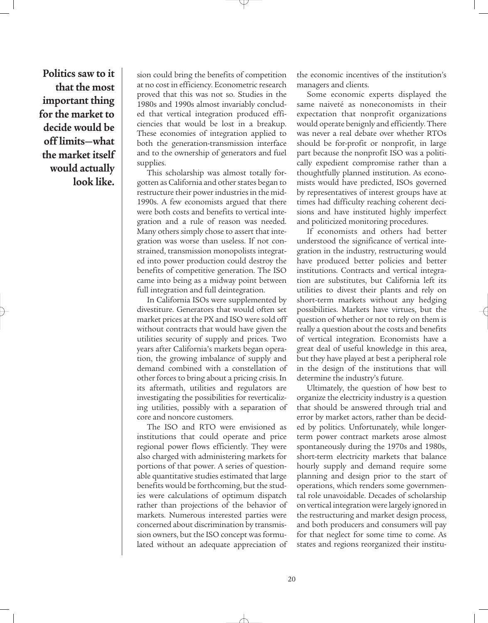**Politics saw to it that the most important thing for the market to decide would be off limits—what the market itself would actually look like.**

sion could bring the benefits of competition at no cost in efficiency. Econometric research proved that this was not so. Studies in the 1980s and 1990s almost invariably concluded that vertical integration produced efficiencies that would be lost in a breakup. These economies of integration applied to both the generation-transmission interface and to the ownership of generators and fuel supplies.

This scholarship was almost totally forgotten as California and other states began to restructure their power industries in the mid-1990s. A few economists argued that there were both costs and benefits to vertical integration and a rule of reason was needed. Many others simply chose to assert that integration was worse than useless. If not constrained, transmission monopolists integrated into power production could destroy the benefits of competitive generation. The ISO came into being as a midway point between full integration and full deintegration.

In California ISOs were supplemented by divestiture. Generators that would often set market prices at the PX and ISO were sold off without contracts that would have given the utilities security of supply and prices. Two years after California's markets began operation, the growing imbalance of supply and demand combined with a constellation of other forces to bring about a pricing crisis. In its aftermath, utilities and regulators are investigating the possibilities for reverticalizing utilities, possibly with a separation of core and noncore customers.

The ISO and RTO were envisioned as institutions that could operate and price regional power flows efficiently. They were also charged with administering markets for portions of that power. A series of questionable quantitative studies estimated that large benefits would be forthcoming, but the studies were calculations of optimum dispatch rather than projections of the behavior of markets. Numerous interested parties were concerned about discrimination by transmission owners, but the ISO concept was formulated without an adequate appreciation of

the economic incentives of the institution's managers and clients.

Some economic experts displayed the same naiveté as noneconomists in their expectation that nonprofit organizations would operate benignly and efficiently. There was never a real debate over whether RTOs should be for-profit or nonprofit, in large part because the nonprofit ISO was a politically expedient compromise rather than a thoughtfully planned institution. As economists would have predicted, ISOs governed by representatives of interest groups have at times had difficulty reaching coherent decisions and have instituted highly imperfect and politicized monitoring procedures.

If economists and others had better understood the significance of vertical integration in the industry, restructuring would have produced better policies and better institutions. Contracts and vertical integration are substitutes, but California left its utilities to divest their plants and rely on short-term markets without any hedging possibilities. Markets have virtues, but the question of whether or not to rely on them is really a question about the costs and benefits of vertical integration. Economists have a great deal of useful knowledge in this area, but they have played at best a peripheral role in the design of the institutions that will determine the industry's future.

Ultimately, the question of how best to organize the electricity industry is a question that should be answered through trial and error by market actors, rather than be decided by politics. Unfortunately, while longerterm power contract markets arose almost spontaneously during the 1970s and 1980s, short-term electricity markets that balance hourly supply and demand require some planning and design prior to the start of operations, which renders some governmental role unavoidable. Decades of scholarship on vertical integration were largely ignored in the restructuring and market design process, and both producers and consumers will pay for that neglect for some time to come. As states and regions reorganized their institu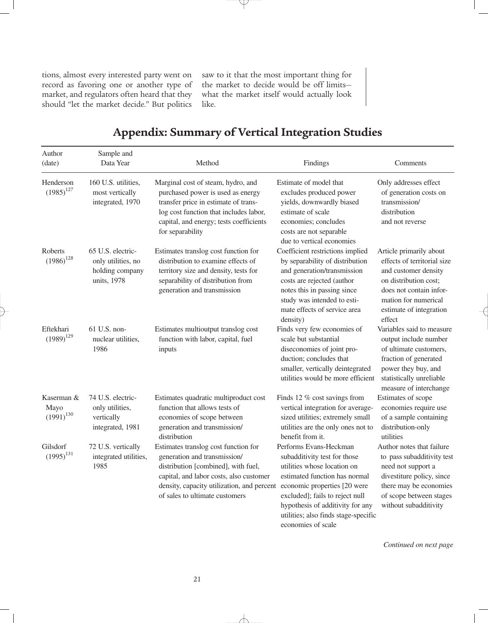tions, almost every interested party went on record as favoring one or another type of market, and regulators often heard that they should "let the market decide." But politics

saw to it that the most important thing for the market to decide would be off limits what the market itself would actually look like.

| Author<br>(date)                     | Sample and<br>Data Year                                                   | Method                                                                                                                                                                                                                                 | Findings                                                                                                                                                                                                                                                                                    | Comments                                                                                                                                                                                        |
|--------------------------------------|---------------------------------------------------------------------------|----------------------------------------------------------------------------------------------------------------------------------------------------------------------------------------------------------------------------------------|---------------------------------------------------------------------------------------------------------------------------------------------------------------------------------------------------------------------------------------------------------------------------------------------|-------------------------------------------------------------------------------------------------------------------------------------------------------------------------------------------------|
| Henderson<br>$(1985)^{127}$          | 160 U.S. utilities,<br>most vertically<br>integrated, 1970                | Marginal cost of steam, hydro, and<br>purchased power is used as energy<br>transfer price in estimate of trans-<br>log cost function that includes labor,<br>capital, and energy; tests coefficients<br>for separability               | Estimate of model that<br>excludes produced power<br>yields, downwardly biased<br>estimate of scale<br>economies; concludes<br>costs are not separable<br>due to vertical economies                                                                                                         | Only addresses effect<br>of generation costs on<br>transmission/<br>distribution<br>and not reverse                                                                                             |
| Roberts<br>$(1986)^{128}$            | 65 U.S. electric-<br>only utilities, no<br>holding company<br>units, 1978 | Estimates translog cost function for<br>distribution to examine effects of<br>territory size and density, tests for<br>separability of distribution from<br>generation and transmission                                                | Coefficient restrictions implied<br>by separability of distribution<br>and generation/transmission<br>costs are rejected (author<br>notes this in passing since<br>study was intended to esti-<br>mate effects of service area<br>density)                                                  | Article primarily about<br>effects of territorial size<br>and customer density<br>on distribution cost;<br>does not contain infor-<br>mation for numerical<br>estimate of integration<br>effect |
| Eftekhari<br>$(1989)^{129}$          | $61$ U.S. non-<br>nuclear utilities,<br>1986                              | Estimates multioutput translog cost<br>function with labor, capital, fuel<br>inputs                                                                                                                                                    | Finds very few economies of<br>scale but substantial<br>diseconomies of joint pro-<br>duction; concludes that<br>smaller, vertically deintegrated<br>utilities would be more efficient                                                                                                      | Variables said to measure<br>output include number<br>of ultimate customers,<br>fraction of generated<br>power they buy, and<br>statistically unreliable<br>measure of interchange              |
| Kaserman &<br>Mayo<br>$(1991)^{130}$ | 74 U.S. electric-<br>only utilities,<br>vertically<br>integrated, 1981    | Estimates quadratic multiproduct cost<br>function that allows tests of<br>economies of scope between<br>generation and transmission/<br>distribution                                                                                   | Finds 12 % cost savings from<br>vertical integration for average-<br>sized utilities; extremely small<br>utilities are the only ones not to<br>benefit from it.                                                                                                                             | Estimates of scope<br>economies require use<br>of a sample containing<br>distribution-only<br>utilities                                                                                         |
| Gilsdorf<br>$(1995)^{131}$           | 72 U.S. vertically<br>integrated utilities,<br>1985                       | Estimates translog cost function for<br>generation and transmission/<br>distribution [combined], with fuel,<br>capital, and labor costs, also customer<br>density, capacity utilization, and percent<br>of sales to ultimate customers | Performs Evans-Heckman<br>subadditivity test for those<br>utilities whose location on<br>estimated function has normal<br>economic properties [20 were<br>excluded]; fails to reject null<br>hypothesis of additivity for any<br>utilities; also finds stage-specific<br>economies of scale | Author notes that failure<br>to pass subadditivity test<br>need not support a<br>divestiture policy, since<br>there may be economies<br>of scope between stages<br>without subadditivity        |

## **Appendix: Summary of Vertical Integration Studies**

 $\neq$ 

*Continued on next page*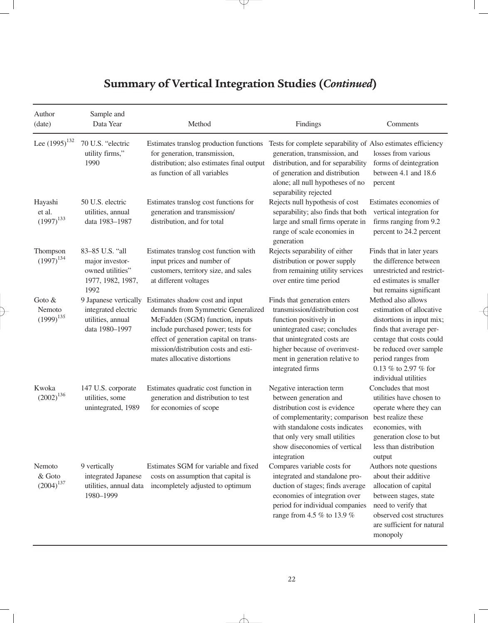# **Summary of Vertical Integration Studies (***Continued***)**

Y.

| Author<br>(date)                       | Sample and<br>Data Year                                                             | Method                                                                                                                                                                                                                                                           | Findings                                                                                                                                                                                                                                       | Comments                                                                                                                                                                                                                           |
|----------------------------------------|-------------------------------------------------------------------------------------|------------------------------------------------------------------------------------------------------------------------------------------------------------------------------------------------------------------------------------------------------------------|------------------------------------------------------------------------------------------------------------------------------------------------------------------------------------------------------------------------------------------------|------------------------------------------------------------------------------------------------------------------------------------------------------------------------------------------------------------------------------------|
| Lee $(1995)^{132}$                     | 70 U.S. "electric<br>utility firms,"<br>1990                                        | Estimates translog production functions<br>for generation, transmission,<br>distribution; also estimates final output<br>as function of all variables                                                                                                            | Tests for complete separability of Also estimates efficiency<br>generation, transmission, and<br>distribution, and for separability<br>of generation and distribution<br>alone; all null hypotheses of no<br>separability rejected             | losses from various<br>forms of deintegration<br>between 4.1 and 18.6<br>percent                                                                                                                                                   |
| Hayashi<br>et al.<br>$(1997)^{133}$    | 50 U.S. electric<br>utilities, annual<br>data 1983-1987                             | Estimates translog cost functions for<br>generation and transmission/<br>distribution, and for total                                                                                                                                                             | Rejects null hypothesis of cost<br>separability; also finds that both<br>large and small firms operate in<br>range of scale economies in<br>generation                                                                                         | Estimates economies of<br>vertical integration for<br>firms ranging from 9.2<br>percent to 24.2 percent                                                                                                                            |
| Thompson<br>$(1997)^{134}$             | 83-85 U.S. "all<br>major investor-<br>owned utilities"<br>1977, 1982, 1987,<br>1992 | Estimates translog cost function with<br>input prices and number of<br>customers, territory size, and sales<br>at different voltages                                                                                                                             | Rejects separability of either<br>distribution or power supply<br>from remaining utility services<br>over entire time period                                                                                                                   | Finds that in later years<br>the difference between<br>unrestricted and restrict-<br>ed estimates is smaller<br>but remains significant                                                                                            |
| Goto &<br>Nemoto<br>$(1999)^{135}$     | 9 Japanese vertically<br>integrated electric<br>utilities, annual<br>data 1980-1997 | Estimates shadow cost and input<br>demands from Symmetric Generalized<br>McFadden (SGM) function, inputs<br>include purchased power; tests for<br>effect of generation capital on trans-<br>mission/distribution costs and esti-<br>mates allocative distortions | Finds that generation enters<br>transmission/distribution cost<br>function positively in<br>unintegrated case; concludes<br>that unintegrated costs are<br>higher because of overinvest-<br>ment in generation relative to<br>integrated firms | Method also allows<br>estimation of allocative<br>distortions in input mix;<br>finds that average per-<br>centage that costs could<br>be reduced over sample<br>period ranges from<br>0.13 % to 2.97 % for<br>individual utilities |
| Kwoka<br>${\left( 2002\right) }^{136}$ | 147 U.S. corporate<br>utilities, some<br>unintegrated, 1989                         | Estimates quadratic cost function in<br>generation and distribution to test<br>for economies of scope                                                                                                                                                            | Negative interaction term<br>between generation and<br>distribution cost is evidence<br>of complementarity; comparison<br>with standalone costs indicates<br>that only very small utilities<br>show diseconomies of vertical<br>integration    | Concludes that most<br>utilities have chosen to<br>operate where they can<br>best realize these<br>economies, with<br>generation close to but<br>less than distribution<br>output                                                  |
| Nemoto<br>& Goto<br>$(2004)^{137}$     | 9 vertically<br>integrated Japanese<br>utilities, annual data<br>1980-1999          | Estimates SGM for variable and fixed<br>costs on assumption that capital is<br>incompletely adjusted to optimum                                                                                                                                                  | Compares variable costs for<br>integrated and standalone pro-<br>duction of stages; finds average<br>economies of integration over<br>period for individual companies<br>range from 4.5 % to 13.9 %                                            | Authors note questions<br>about their additive<br>allocation of capital<br>between stages, state<br>need to verify that<br>observed cost structures<br>are sufficient for natural<br>monopoly                                      |

 $\rightarrow$ 

 $\overline{\phantom{a}}$ 

 $\overline{\mathcal{A}}$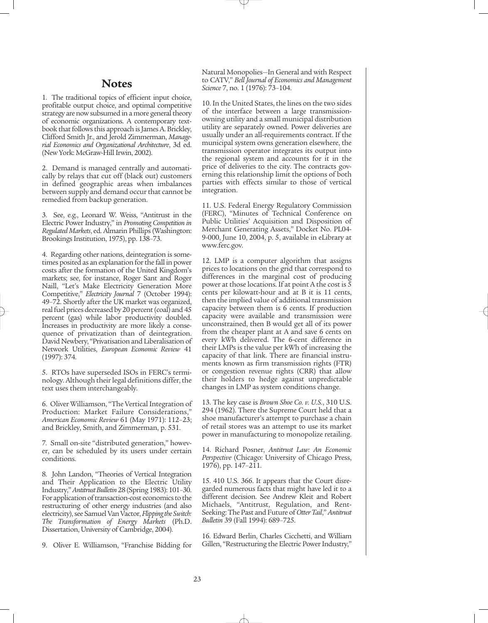### **Notes**

1. The traditional topics of efficient input choice, profitable output choice, and optimal competitive strategy are now subsumed in a more general theory of economic organizations. A contemporary textbook that follows this approach is James A. Brickley, Clifford Smith Jr., and Jerold Zimmerman, *Managerial Economics and Organizational Architecture*, 3d ed. (New York: McGraw-Hill Irwin, 2002).

2. Demand is managed centrally and automatically by relays that cut off (black out) customers in defined geographic areas when imbalances between supply and demand occur that cannot be remedied from backup generation.

3. See, e.g., Leonard W. Weiss, "Antitrust in the Electric Power Industry," in *Promoting Competition in Regulated Markets*, ed. Almarin Phillips (Washington: Brookings Institution, 1975), pp. 138–73.

4. Regarding other nations, deintegration is sometimes posited as an explanation for the fall in power costs after the formation of the United Kingdom's markets; see, for instance, Roger Sant and Roger Naill, "Let's Make Electricity Generation More Competitive," *Electricity Journal* 7 (October 1994): 49–72. Shortly after the UK market was organized, real fuel prices decreased by 20 percent (coal) and 45 percent (gas) while labor productivity doubled. Increases in productivity are more likely a consequence of privatization than of deintegration. David Newbery, "Privatisation and Liberalisation of Network Utilities, *European Economic Review* 41 (1997): 374.

5. RTOs have superseded ISOs in FERC's terminology. Although their legal definitions differ, the text uses them interchangeably.

6. Oliver Williamson, "The Vertical Integration of Production: Market Failure Considerations," *American Economic Review* 61 (May 1971): 112–23; and Brickley, Smith, and Zimmerman, p. 531.

7. Small on-site "distributed generation," however, can be scheduled by its users under certain conditions.

8. John Landon, "Theories of Vertical Integration and Their Application to the Electric Utility Industry," *Antitrust Bulletin* 28 (Spring 1983): 101–30. For application of transaction-cost economics to the restructuring of other energy industries (and also electricity), see Samuel Van Vactor, *Flipping the Switch: The Transformation of Energy Markets* (Ph.D. Dissertation, University of Cambridge, 2004).

9. Oliver E. Williamson, "Franchise Bidding for

Natural Monopolies—In General and with Respect to CATV," *Bell Journal of Economics and Management Science* 7, no. 1 (1976): 73–104.

10. In the United States, the lines on the two sides of the interface between a large transmissionowning utility and a small municipal distribution utility are separately owned. Power deliveries are usually under an all-requirements contract. If the municipal system owns generation elsewhere, the transmission operator integrates its output into the regional system and accounts for it in the price of deliveries to the city. The contracts governing this relationship limit the options of both parties with effects similar to those of vertical integration.

11. U.S. Federal Energy Regulatory Commission (FERC), "Minutes of Technical Conference on Public Utilities' Acquisition and Disposition of Merchant Generating Assets," Docket No. PL04- 9-000, June 10, 2004, p. 5, available in eLibrary at www.ferc.gov.

12. LMP is a computer algorithm that assigns prices to locations on the grid that correspond to differences in the marginal cost of producing power at those locations. If at point A the cost is 5 cents per kilowatt-hour and at B it is 11 cents, then the implied value of additional transmission capacity between them is 6 cents. If production capacity were available and transmission were unconstrained, then B would get all of its power from the cheaper plant at A and save 6 cents on every kWh delivered. The 6-cent difference in their LMPs is the value per kWh of increasing the capacity of that link. There are financial instruments known as firm transmission rights (FTR) or congestion revenue rights (CRR) that allow their holders to hedge against unpredictable changes in LMP as system conditions change.

13. The key case is *Brown Shoe Co. v. U.S.*, 310 U.S. 294 (1962). There the Supreme Court held that a shoe manufacturer's attempt to purchase a chain of retail stores was an attempt to use its market power in manufacturing to monopolize retailing.

14. Richard Posner, *Antitrust Law: An Economic Perspective* (Chicago: University of Chicago Press, 1976), pp. 147–211.

15. 410 U.S. 366. It appears that the Court disregarded numerous facts that might have led it to a different decision. See Andrew Kleit and Robert Michaels, "Antitrust, Regulation, and Rent-Seeking: The Past and Future of *Otter Tail*," *Antitrust Bulletin* 39 (Fall 1994): 689–725.

16. Edward Berlin, Charles Cicchetti, and William Gillen, "Restructuring the Electric Power Industry,"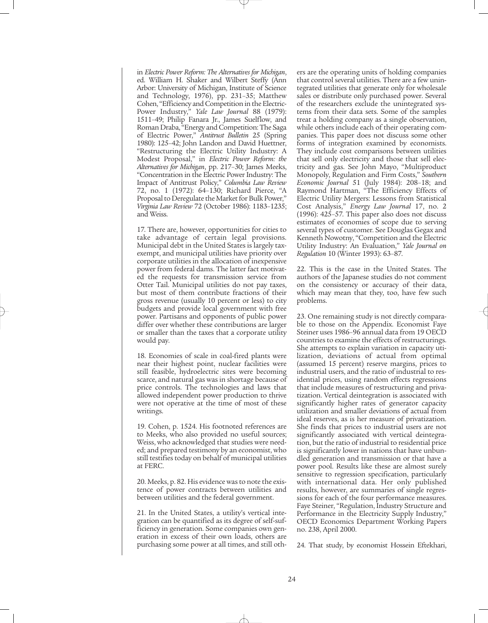in *Electric Power Reform: The Alternatives for Michigan*, ed. William H. Shaker and Wilbert Steffy (Ann Arbor: University of Michigan, Institute of Science and Technology, 1976), pp. 231–35; Matthew Cohen, "Efficiency and Competition in the Electric-Power Industry," *Yale Law Journal* 88 (1979): 1511–49; Philip Fanara Jr., James Suelflow, and Roman Draba, "Energy and Competition: The Saga of Electric Power," *Antitrust Bulletin* 25 (Spring 1980): 125–42; John Landon and David Huettner, "Restructuring the Electric Utility Industry: A Modest Proposal," in *Electric Power Reform: the Alternatives for Michigan*, pp. 217–30; James Meeks, "Concentration in the Electric Power Industry: The Impact of Antitrust Policy," *Columbia Law Review* 72, no. 1 (1972): 64–130; Richard Pierce, "A Proposal to Deregulate the Market for Bulk Power," *Virginia Law Review* 72 (October 1986): 1183–1235; and Weiss.

17. There are, however, opportunities for cities to take advantage of certain legal provisions. Municipal debt in the United States is largely taxexempt, and municipal utilities have priority over corporate utilities in the allocation of inexpensive power from federal dams. The latter fact motivated the requests for transmission service from Otter Tail. Municipal utilities do not pay taxes, but most of them contribute fractions of their gross revenue (usually 10 percent or less) to city budgets and provide local government with free power. Partisans and opponents of public power differ over whether these contributions are larger or smaller than the taxes that a corporate utility would pay.

18. Economies of scale in coal-fired plants were near their highest point, nuclear facilities were still feasible, hydroelectric sites were becoming scarce, and natural gas was in shortage because of price controls. The technologies and laws that allowed independent power production to thrive were not operative at the time of most of these writings.

19. Cohen, p. 1524. His footnoted references are to Meeks, who also provided no useful sources; Weiss, who acknowledged that studies were needed; and prepared testimony by an economist, who still testifies today on behalf of municipal utilities at FERC.

20. Meeks, p. 82. His evidence was to note the existence of power contracts between utilities and between utilities and the federal government.

21. In the United States, a utility's vertical integration can be quantified as its degree of self-sufficiency in generation. Some companies own generation in excess of their own loads, others are purchasing some power at all times, and still oth-

ers are the operating units of holding companies that control several utilities. There are a few unintegrated utilities that generate only for wholesale sales or distribute only purchased power. Several of the researchers exclude the unintegrated systems from their data sets. Some of the samples treat a holding company as a single observation, while others include each of their operating companies. This paper does not discuss some other forms of integration examined by economists. They include cost comparisons between utilities that sell only electricity and those that sell electricity and gas. See John Mayo, "Multiproduct Monopoly, Regulation and Firm Costs," *Southern Economic Journal* 51 (July 1984): 208–18; and Raymond Hartman, "The Efficiency Effects of Electric Utility Mergers: Lessons from Statistical Cost Analysis," *Energy Law Journal* 17, no. 2  $(1996): 425-57$ . This paper also does not discuss estimates of economies of scope due to serving several types of customer. See Douglas Gegax and Kenneth Nowotny, "Competition and the Electric Utility Industry: An Evaluation," *Yale Journal on Regulation* 10 (Winter 1993): 63–87.

22. This is the case in the United States. The authors of the Japanese studies do not comment on the consistency or accuracy of their data, which may mean that they, too, have few such problems.

23. One remaining study is not directly comparable to those on the Appendix. Economist Faye Steiner uses 1986–96 annual data from 19 OECD countries to examine the effects of restructurings. She attempts to explain variation in capacity utilization, deviations of actual from optimal (assumed 15 percent) reserve margins, prices to industrial users, and the ratio of industrial to residential prices, using random effects regressions that include measures of restructuring and privatization. Vertical deintegration is associated with significantly higher rates of generator capacity utilization and smaller deviations of actual from ideal reserves, as is her measure of privatization. She finds that prices to industrial users are not significantly associated with vertical deintegration, but the ratio of industrial to residential price is significantly lower in nations that have unbundled generation and transmission or that have a power pool. Results like these are almost surely sensitive to regression specification, particularly with international data. Her only published results, however, are summaries of single regressions for each of the four performance measures. Faye Steiner, "Regulation, Industry Structure and Performance in the Electricity Supply Industry," OECD Economics Department Working Papers no. 238, April 2000.

24. That study, by economist Hossein Eftekhari,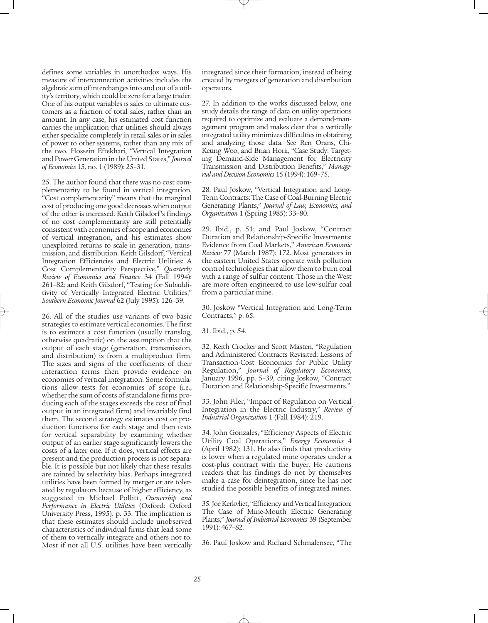defines some variables in unorthodox ways. His measure of interconnection activities includes the algebraic sum of interchanges into and out of a utility's territory, which could be zero for a large trader. One of his output variables is sales to ultimate customers as a fraction of total sales, rather than an amount. In any case, his estimated cost function carries the implication that utilities should always either specialize completely in retail sales or in sales of power to other systems, rather than any mix of the two. Hossein Eftekhari, "Vertical Integration and Power Generation in the United States," *Journal of Economics* 15, no. 1 (1989): 25–31.

25. The author found that there was no cost complementarity to be found in vertical integration. "Cost complementarity" means that the marginal cost of producing one good decreases when output of the other is increased. Keith Gilsdorf's findings of no cost complementarity are still potentially consistent with economies of scope and economies of vertical integration, and his estimates show unexploited returns to scale in generation, transmission, and distribution. Keith Gilsdorf, "Vertical Integration Efficiencies and Electric Utilities: A Cost Complementarity Perspective," *Quarterly Review of Economics and Finance* 34 (Fall 1994): 261–82; and Keith Gilsdorf, "Testing for Subadditivity of Vertically Integrated Electric Utilities," *Southern Economic Journal* 62 (July 1995): 126–39.

26. All of the studies use variants of two basic strategies to estimate vertical economies. The first is to estimate a cost function (usually translog, otherwise quadratic) on the assumption that the output of each stage (generation, transmission, and distribution) is from a multiproduct firm. The sizes and signs of the coefficients of their interaction terms then provide evidence on economies of vertical integration. Some formulations allow tests for economies of scope (i.e., whether the sum of costs of standalone firms producing each of the stages exceeds the cost of final output in an integrated firm) and invariably find them. The second strategy estimates cost or production functions for each stage and then tests for vertical separability by examining whether output of an earlier stage significantly lowers the costs of a later one. If it does, vertical effects are present and the production process is not separable. It is possible but not likely that these results are tainted by selectivity bias. Perhaps integrated utilities have been formed by merger or are tolerated by regulators because of higher efficiency, as suggested in Michael Pollitt, *Ownership and Performance in Electric Utilities* (Oxford: Oxford University Press, 1995), p. 33. The implication is that these estimates should include unobserved characteristics of individual firms that lead some of them to vertically integrate and others not to. Most if not all U.S. utilities have been vertically

integrated since their formation, instead of being created by mergers of generation and distribution operators.

27. In addition to the works discussed below, one study details the range of data on utility operations required to optimize and evaluate a demand-management program and makes clear that a vertically integrated utility minimizes difficulties in obtaining and analyzing those data. See Ren Orans, Chi-Keung Woo, and Brian Horii, "Case Study: Targeting Demand-Side Management for Electricity Transmission and Distribution Benefits," *Managerial and Decision Economics* 15 (1994): 169–75.

28. Paul Joskow, "Vertical Integration and Long-Term Contracts: The Case of Coal-Burning Electric Generating Plants," *Journal of Law, Economics, and Organization* 1 (Spring 1985): 33–80.

29. Ibid., p. 51; and Paul Joskow, "Contract Duration and Relationship-Specific Investments: Evidence from Coal Markets," *American Economic Review* 77 (March 1987): 172. Most generators in the eastern United States operate with pollution control technologies that allow them to burn coal with a range of sulfur content. Those in the West are more often engineered to use low-sulfur coal from a particular mine.

30. Joskow "Vertical Integration and Long-Term Contracts," p. 65.

31. Ibid., p. 54.

32. Keith Crocker and Scott Masten, "Regulation and Administered Contracts Revisited: Lessons of Transaction-Cost Economics for Public Utility Regulation," *Journal of Regulatory Economics*, January 1996, pp. 5–39, citing Joskow, "Contract Duration and Relationship-Specific Investments."

33. John Filer, "Impact of Regulation on Vertical Integration in the Electric Industry," *Review of Industrial Organization* 1 (Fall 1984): 219.

34. John Gonzales, "Efficiency Aspects of Electric Utility Coal Operations," *Energy Economics* 4 (April 1982): 131. He also finds that productivity is lower when a regulated mine operates under a cost-plus contract with the buyer. He cautions readers that his findings do not by themselves make a case for deintegration, since he has not studied the possible benefits of integrated mines.

35. Joe Kerkvliet, "Efficiency and Vertical Integration: The Case of Mine-Mouth Electric Generating Plants," *Journal of Industrial Economics* 39 (September 1991): 467–82.

36. Paul Joskow and Richard Schmalensee, "The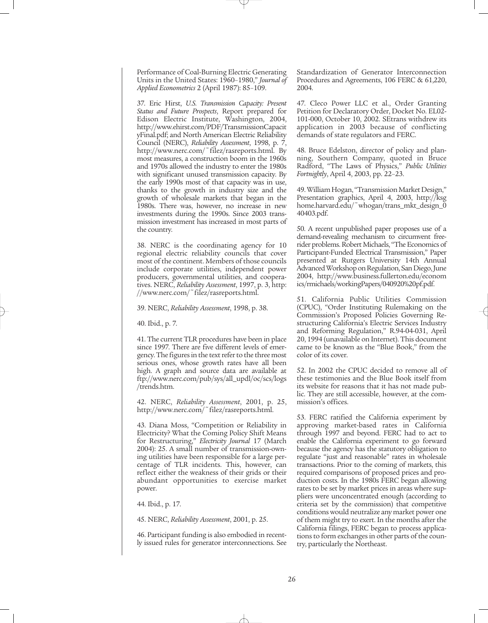Performance of Coal-Burning Electric Generating Units in the United States: 1960–1980," *Journal of Applied Econometrics* 2 (April 1987): 85–109.

37. Eric Hirst, *U.S. Transmission Capacity: Present Status and Future Prospects*, Report prepared for Edison Electric Institute, Washington, 2004, http://www.ehirst.com/PDF/TransmissionCapacit yFinal.pdf; and North American Electric Reliability Council (NERC), *Reliability Assessment*, 1998, p. 7, http://www.nerc.com/~filez/rasreports.html. By most measures, a construction boom in the 1960s and 1970s allowed the industry to enter the 1980s with significant unused transmission capacity. By the early 1990s most of that capacity was in use, thanks to the growth in industry size and the growth of wholesale markets that began in the 1980s. There was, however, no increase in new investments during the 1990s. Since 2003 transmission investment has increased in most parts of the country.

38. NERC is the coordinating agency for 10 regional electric reliability councils that cover most of the continent. Members of those councils include corporate utilities, independent power producers, governmental utilities, and cooperatives. NERC, *Reliability Assessment*, 1997, p. 3, http: //www.nerc.com/~filez/rasreports.html.

39. NERC, *Reliability Assessment*, 1998, p. 38.

40. Ibid., p. 7.

41. The current TLR procedures have been in place since 1997. There are five different levels of emergency. The figures in the text refer to the three most serious ones, whose growth rates have all been high. A graph and source data are available at ftp://www.nerc.com/pub/sys/all\_updl/oc/scs/logs /trends.htm.

42. NERC, *Reliability Assessment*, 2001, p. 25, http://www.nerc.com/~filez/rasreports.html.

43. Diana Moss, "Competition or Reliability in Electricity? What the Coming Policy Shift Means for Restructuring," *Electricity Journal* 17 (March 2004): 25. A small number of transmission-owning utilities have been responsible for a large percentage of TLR incidents. This, however, can reflect either the weakness of their grids or their abundant opportunities to exercise market power.

44. Ibid., p. 17.

45. NERC, *Reliability Assessment*, 2001, p. 25.

46. Participant funding is also embodied in recently issued rules for generator interconnections. See Standardization of Generator Interconnection Procedures and Agreements, 106 FERC & 61,220, 2004.

47. Cleco Power LLC et al., Order Granting Petition for Declaratory Order, Docket No. EL02- 101-000, October 10, 2002. SEtrans withdrew its application in 2003 because of conflicting demands of state regulators and FERC.

48. Bruce Edelston, director of policy and planning, Southern Company, quoted in Bruce Radford, "The Laws of Physics," *Public Utilities Fortnightly*, April 4, 2003, pp. 22–23.

49. William Hogan, "Transmission Market Design," Presentation graphics, April 4, 2003, http://ksg home.harvard.edu/~whogan/trans\_mkt\_design\_0 40403.pdf.

50. A recent unpublished paper proposes use of a demand-revealing mechanism to circumvent freerider problems. Robert Michaels, "The Economics of Participant-Funded Electrical Transmission," Paper presented at Rutgers University 14th Annual Advanced Workshop on Regulation, San Diego, June 2004, http://www.business.fullerton.edu/econom ics/rmichaels/workingPapers/040920%20pf.pdf.

51. California Public Utilities Commission (CPUC), "Order Instituting Rulemaking on the Commission's Proposed Policies Governing Restructuring California's Electric Services Industry and Reforming Regulation," R.94-04-031, April 20, 1994 (unavailable on Internet). This document came to be known as the "Blue Book," from the color of its cover.

52. In 2002 the CPUC decided to remove all of these testimonies and the Blue Book itself from its website for reasons that it has not made public. They are still accessible, however, at the commission's offices.

53. FERC ratified the California experiment by approving market-based rates in California through 1997 and beyond. FERC had to act to enable the California experiment to go forward because the agency has the statutory obligation to regulate "just and reasonable" rates in wholesale transactions. Prior to the coming of markets, this required comparisons of proposed prices and production costs. In the 1980s FERC began allowing rates to be set by market prices in areas where suppliers were unconcentrated enough (according to criteria set by the commission) that competitive conditions would neutralize any market power one of them might try to exert. In the months after the California filings, FERC began to process applications to form exchanges in other parts of the country, particularly the Northeast.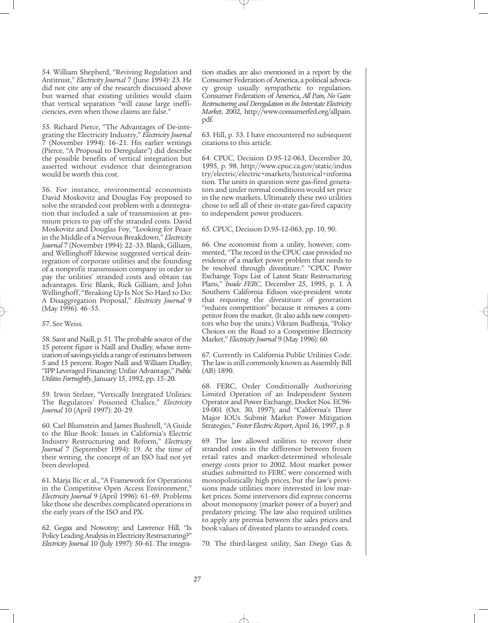54. William Shepherd, "Reviving Regulation and Antitrust," *Electricity Journal* 7 (June 1994): 23. He did not cite any of the research discussed above but warned that existing utilities would claim that vertical separation "will cause large inefficiencies, even when those claims are false."

55. Richard Pierce, "The Advantages of De-integrating the Electricity Industry," *Electricity Journal* 7 (November 1994): 16–21. His earlier writings (Pierce, "A Proposal to Deregulate") did describe the possible benefits of vertical integration but asserted without evidence that deintegration would be worth this cost.

56. For instance, environmental economists David Moskovitz and Douglas Foy proposed to solve the stranded cost problem with a deintegration that included a sale of transmission at premium prices to pay off the stranded costs. David Moskovitz and Douglas Foy, "Looking for Peace in the Middle of a Nervous Breakdown," *Electricity Journal* 7 (November 1994): 22–33. Blank, Gilliam, and Wellinghoff likewise suggested vertical deintegration of corporate utilities and the founding of a nonprofit transmission company in order to pay the utilities' stranded costs and obtain tax advantages. Eric Blank, Rick Gilliam, and John Wellinghoff, "Breaking Up Is Not So Hard to Do: A Disaggregation Proposal," *Electricity Journal* 9 (May 1996): 46–55.

57. See Weiss.

58. Sant and Naill, p. 51. The probable source of the 15 percent figure is Naill and Dudley, whose itemization of savings yields a range of estimates between 5 and 15 percent. Roger Naill and William Dudley, "IPP Leveraged Financing: Unfair Advantage," *Public Utilities Fortnightly*, January 15, 1992, pp. 15–20.

59. Irwin Stelzer, "Vertically Integrated Utilities: The Regulators' Poisoned Chalice," *Electricity Journal* 10 (April 1997): 20–29.

60. Carl Blumstein and James Bushnell, "A Guide to the Blue Book: Issues in California's Electric Industry Restructuring and Reform," *Electricity Journal* 7 (September 1994): 19. At the time of their writing, the concept of an ISO had not yet been developed.

61. Marja Ilic et al., "A Framework for Operations in the Competitive Open Access Environment," *Electricity Journal* 9 (April 1996): 61–69. Problems like those she describes complicated operations in the early years of the ISO and PX.

62. Gegax and Nowotny; and Lawrence Hill, "Is Policy Leading Analysis in Electricity Restructuring?" *Electricity Journal* 10 (July 1997): 50–61. The integration studies are also mentioned in a report by the Consumer Federation of America, a political advocacy group usually sympathetic to regulation. Consumer Federation of America, *All Pain, No Gain: Restructuring and Deregulation in the Interstate Electricity Market*, 2002, http://www.consumerfed.org/allpain. pdf.

63. Hill, p. 53. I have encountered no subsequent citations to this article.

64. CPUC, Decision D.95-12-063, December 20, 1995, p. 98, http://www.cpuc.ca.gov/static/indus try/electric/electric+markets/historical+informa tion. The units in question were gas-fired generators and under normal conditions would set price in the new markets. Ultimately these two utilities chose to sell all of their in-state gas-fired capacity to independent power producers.

65. CPUC, Decision D.95-12-063, pp. 10, 90.

66. One economist from a utility, however, commented, "The record in the CPUC case provided no evidence of a market power problem that needs to be resolved through divestiture." "CPUC Power Exchange Tops List of Latest State Restructuring Plans," *Inside FERC*, December 25, 1995, p. 1. A Southern California Edison vice-president wrote that requiring the divestiture of generation "reduces competition" because it removes a competitor from the market. (It also adds new competitors who buy the units.) Vikram Budhraja, "Policy Choices on the Road to a Competitive Electricity Market," *Electricity Journal* 9 (May 1996): 60.

67. Currently in California Public Utilities Code. The law is still commonly known as Assembly Bill (AB) 1890.

68. FERC, Order Conditionally Authorizing Limited Operation of an Independent System Operator and Power Exchange, Docket Nos. EC96- 19-001 (Oct. 30, 1997); and "California's Three Major IOUs Submit Market Power Mitigation Strategies," *Foster Electric Report*, April 16, 1997, p. 8

69. The law allowed utilities to recover their stranded costs in the difference between frozen retail rates and market-determined wholesale energy costs prior to 2002. Most market power studies submitted to FERC were concerned with monopolistically high prices, but the law's provisions made utilities more interested in low market prices. Some intervenors did express concerns about monopsony (market power of a buyer) and predatory pricing. The law also required utilities to apply any premia between the sales prices and book values of divested plants to stranded costs.

70. The third-largest utility, San Diego Gas &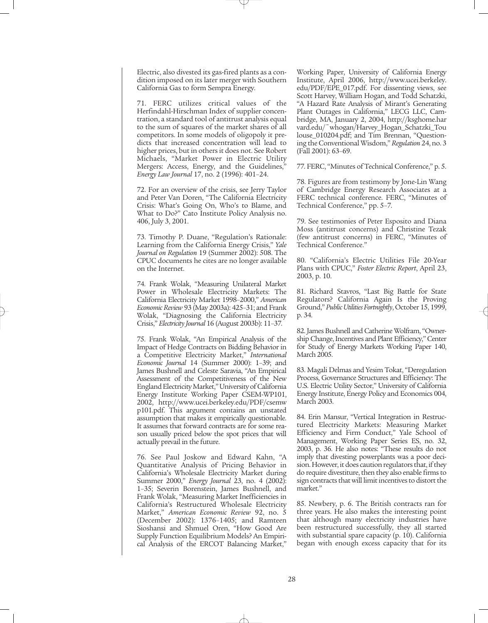Electric, also divested its gas-fired plants as a condition imposed on its later merger with Southern California Gas to form Sempra Energy.

71. FERC utilizes critical values of the Herfindahl-Hirschman Index of supplier concentration, a standard tool of antitrust analysis equal to the sum of squares of the market shares of all competitors. In some models of oligopoly it predicts that increased concentration will lead to higher prices, but in others it does not. See Robert Michaels, "Market Power in Electric Utility Mergers: Access, Energy, and the Guidelines," *Energy Law Journal* 17, no. 2 (1996): 401–24.

72. For an overview of the crisis, see Jerry Taylor and Peter Van Doren, "The California Electricity Crisis: What's Going On, Who's to Blame, and What to Do?" Cato Institute Policy Analysis no. 406, July 3, 2001.

73. Timothy P. Duane, "Regulation's Rationale: Learning from the California Energy Crisis," *Yale Journal on Regulation* 19 (Summer 2002): 508. The CPUC documents he cites are no longer available on the Internet.

74. Frank Wolak, "Measuring Unilateral Market Power in Wholesale Electricity Markets: The California Electricity Market 1998–2000," *American Economic Review* 93 (May 2003a): 425–31; and Frank Wolak, "Diagnosing the California Electricity Crisis," *Electricity Journal* 16 (August 2003b): 11–37.

75. Frank Wolak, "An Empirical Analysis of the Impact of Hedge Contracts on Bidding Behavior in a Competitive Electricity Market," *International Economic Journal* 14 (Summer 2000): 1–39; and James Bushnell and Celeste Saravia, "An Empirical Assessment of the Competitiveness of the New England Electricity Market," University of California Energy Institute Working Paper CSEM-WP101, 2002, http://www.ucei.berkeley.edu/PDF/csemw p101.pdf. This argument contains an unstated assumption that makes it empirically questionable. It assumes that forward contracts are for some reason usually priced below the spot prices that will actually prevail in the future.

76. See Paul Joskow and Edward Kahn, "A Quantitative Analysis of Pricing Behavior in California's Wholesale Electricity Market during Summer 2000," *Energy Journal* 23, no. 4 (2002): 1–35; Severin Borenstein, James Bushnell, and Frank Wolak, "Measuring Market Inefficiencies in California's Restructured Wholesale Electricity Market," *American Economic Review* 92, no. 5 (December 2002): 1376–1405; and Ramteen Sioshansi and Shmuel Oren, "How Good Are Supply Function Equilibrium Models? An Empirical Analysis of the ERCOT Balancing Market,"

Working Paper, University of California Energy Institute, April 2006, http://www.ucei.berkeley. edu/PDF/EPE\_017.pdf. For dissenting views, see Scott Harvey, William Hogan, and Todd Schatzki, "A Hazard Rate Analysis of Mirant's Generating Plant Outages in California," LECG LLC, Cambridge, MA, January 2, 2004, http://ksghome.har vard.edu/~whogan/Harvey\_Hogan\_Schatzki\_Tou louse\_010204.pdf; and Tim Brennan, "Questioning the Conventional Wisdom," *Regulation* 24, no. 3 (Fall 2001): 63–69.

77. FERC, "Minutes of Technical Conference," p. 5.

78. Figures are from testimony by Jone-Lin Wang of Cambridge Energy Research Associates at a FERC technical conference. FERC, "Minutes of Technical Conference," pp. 5–7.

79. See testimonies of Peter Esposito and Diana Moss (antitrust concerns) and Christine Tezak (few antitrust concerns) in FERC, "Minutes of Technical Conference."

80. "California's Electric Utilities File 20-Year Plans with CPUC," *Foster Electric Report*, April 23, 2003, p. 10.

81. Richard Stavros, "Last Big Battle for State Regulators? California Again Is the Proving Ground," *Public Utilities Fortnightly*, October 15, 1999, p. 34.

82. James Bushnell and Catherine Wolfram, "Ownership Change, Incentives and Plant Efficiency," Center for Study of Energy Markets Working Paper 140, March 2005.

83. Magali Delmas and Yesim Tokat, "Deregulation Process, Governance Structures and Efficiency: The U.S. Electric Utility Sector," University of California Energy Institute, Energy Policy and Economics 004, March 2003.

84. Erin Mansur, "Vertical Integration in Restructured Electricity Markets: Measuring Market Efficiency and Firm Conduct," Yale School of Management, Working Paper Series ES, no. 32, 2003, p. 36. He also notes: "These results do not imply that divesting powerplants was a poor decision. However, it does caution regulators that, if they do require divestiture, then they also enable firms to sign contracts that will limit incentives to distort the market."

85. Newbery, p. 6. The British contracts ran for three years. He also makes the interesting point that although many electricity industries have been restructured successfully, they all started with substantial spare capacity (p. 10). California began with enough excess capacity that for its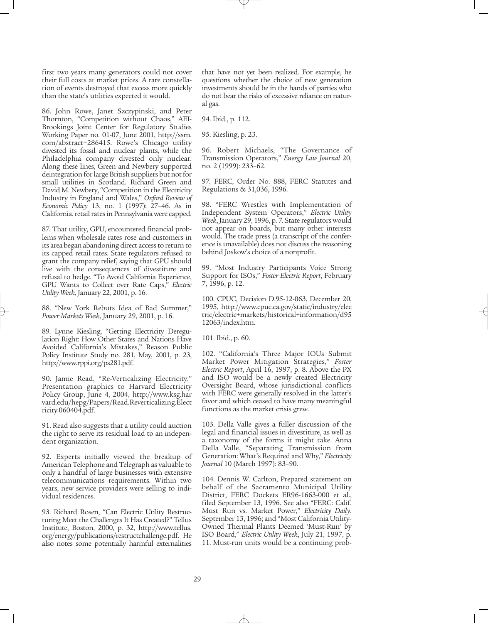first two years many generators could not cover their full costs at market prices. A rare constellation of events destroyed that excess more quickly than the state's utilities expected it would.

86. John Rowe, Janet Szczypinski, and Peter Thornton, "Competition without Chaos," AEI-Brookings Joint Center for Regulatory Studies Working Paper no. 01-07, June 2001, http://ssrn. com/abstract=286415. Rowe's Chicago utility divested its fossil and nuclear plants, while the Philadelphia company divested only nuclear. Along these lines, Green and Newbery supported deintegration for large British suppliers but not for small utilities in Scotland. Richard Green and David M. Newbery, "Competition in the Electricity Industry in England and Wales," *Oxford Review of Economic Policy* 13, no. 1 (1997): 27–46. As in California, retail rates in Pennsylvania were capped.

87. That utility, GPU, encountered financial problems when wholesale rates rose and customers in its area began abandoning direct access to return to its capped retail rates. State regulators refused to grant the company relief, saying that GPU should live with the consequences of divestiture and refusal to hedge. "To Avoid California Experience, GPU Wants to Collect over Rate Caps," *Electric Utility Week*, January 22, 2001, p. 16.

88. "New York Rebuts Idea of Bad Summer," *Power Markets Week*, January 29, 2001, p. 16.

89. Lynne Kiesling, "Getting Electricity Deregulation Right: How Other States and Nations Have Avoided California's Mistakes," Reason Public Policy Institute Study no. 281, May, 2001, p. 23, http://www.rppi.org/ps281.pdf.

90. Jamie Read, "Re-Verticalizing Electricity," Presentation graphics to Harvard Electricity Policy Group, June 4, 2004, http://www.ksg.har vard.edu/hepg/Papers/Read.Reverticalizing.Elect ricity.060404.pdf.

91. Read also suggests that a utility could auction the right to serve its residual load to an independent organization.

92. Experts initially viewed the breakup of American Telephone and Telegraph as valuable to only a handful of large businesses with extensive telecommunications requirements. Within two years, new service providers were selling to individual residences.

93. Richard Rosen, "Can Electric Utility Restructuring Meet the Challenges It Has Created?" Tellus Institute, Boston, 2000, p. 32, http://www.tellus. org/energy/publications/restructchallenge.pdf. He also notes some potentially harmful externalities that have not yet been realized. For example, he questions whether the choice of new generation investments should be in the hands of parties who do not bear the risks of excessive reliance on natural gas.

94. Ibid., p. 112.

95. Kiesling, p. 23.

96. Robert Michaels, "The Governance of Transmission Operators," *Energy Law Journal* 20, no. 2 (1999): 233–62.

97. FERC, Order No. 888, FERC Statutes and Regulations & 31,036, 1996.

98. "FERC Wrestles with Implementation of Independent System Operators," *Electric Utility Week*, January 29, 1996, p. 7. State regulators would not appear on boards, but many other interests would. The trade press (a transcript of the conference is unavailable) does not discuss the reasoning behind Joskow's choice of a nonprofit.

99. "Most Industry Participants Voice Strong Support for ISOs," *Foster Electric Report*, February 7, 1996, p. 12.

100. CPUC, Decision D.95-12-063, December 20, 1995, http://www.cpuc.ca.gov/static/industry/elec tric/electric+markets/historical+information/d95 12063/index.htm.

101. Ibid., p. 60.

102. "California's Three Major IOUs Submit Market Power Mitigation Strategies," *Foster Electric Report*, April 16, 1997, p. 8. Above the PX and ISO would be a newly created Electricity Oversight Board, whose jurisdictional conflicts with FERC were generally resolved in the latter's favor and which ceased to have many meaningful functions as the market crisis grew.

103. Della Valle gives a fuller discussion of the legal and financial issues in divestiture, as well as a taxonomy of the forms it might take. Anna Della Valle, "Separating Transmission from Generation: What's Required and Why," *Electricity Journal* 10 (March 1997): 83–90.

104. Dennis W. Carlton, Prepared statement on behalf of the Sacramento Municipal Utility District, FERC Dockets ER96-1663-000 et al., filed September 13, 1996. See also "FERC: Calif. Must Run vs. Market Power," *Electricity Daily*, September 13, 1996; and "Most California Utility-Owned Thermal Plants Deemed 'Must-Run' by ISO Board," *Electric Utility Week*, July 21, 1997, p. 11. Must-run units would be a continuing prob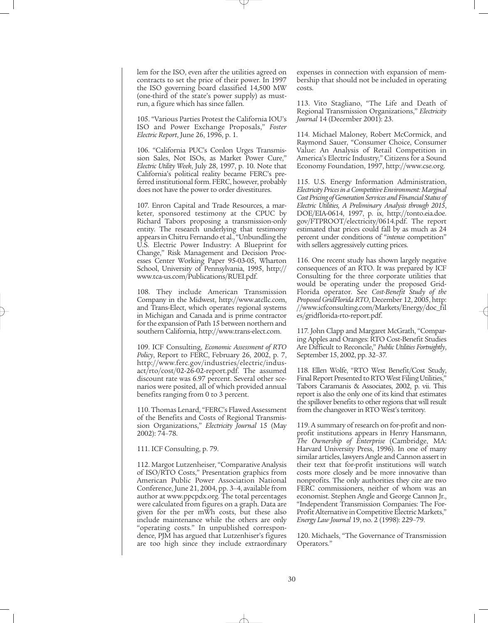lem for the ISO, even after the utilities agreed on contracts to set the price of their power. In 1997 the ISO governing board classified 14,500 MW (one-third of the state's power supply) as mustrun, a figure which has since fallen.

105. "Various Parties Protest the California IOU's ISO and Power Exchange Proposals," *Foster Electric Report*, June 26, 1996, p. 1.

106. "California PUC's Conlon Urges Transmission Sales, Not ISOs, as Market Power Cure," *Electric Utility Week*, July 28, 1997, p. 10. Note that California's political reality became FERC's preferred institutional form. FERC, however, probably does not have the power to order divestitures.

107. Enron Capital and Trade Resources, a marketer, sponsored testimony at the CPUC by Richard Tabors proposing a transmission-only entity. The research underlying that testimony appears in Chitru Fernando et al., "Unbundling the U.S. Electric Power Industry: A Blueprint for Change," Risk Management and Decision Processes Center Working Paper 95-03-05, Wharton School, University of Pennsylvania, 1995, http:// www.tca-us.com/Publications/RUEI.pdf.

108. They include American Transmission Company in the Midwest, http://www.atcllc.com, and Trans-Elect, which operates regional systems in Michigan and Canada and is prime contractor for the expansion of Path 15 between northern and southern California, http://www.trans-elect.com.

109. ICF Consulting, *Economic Assessment of RTO Policy*, Report to FERC, February 26, 2002, p. 7, http://www.ferc.gov/industries/electric/indusact/rto/cost/02-26-02-report.pdf. The assumed discount rate was 6.97 percent. Several other scenarios were posited, all of which provided annual benefits ranging from 0 to 3 percent.

110. Thomas Lenard, "FERC's Flawed Assessment of the Benefits and Costs of Regional Transmission Organizations," *Electricity Journal* 15 (May 2002): 74–78.

#### 111. ICF Consulting, p. 79.

112. Margot Lutzenheiser, "Comparative Analysis of ISO/RTO Costs," Presentation graphics from American Public Power Association National Conference, June 21, 2004, pp. 3–4, available from author at www.ppcpdx.org. The total percentages were calculated from figures on a graph. Data are given for the per mWh costs, but these also include maintenance while the others are only "operating costs." In unpublished correspondence, PJM has argued that Lutzenhiser's figures are too high since they include extraordinary expenses in connection with expansion of membership that should not be included in operating costs.

113. Vito Stagliano, "The Life and Death of Regional Transmission Organizations," *Electricity Journal* 14 (December 2001): 23.

114. Michael Maloney, Robert McCormick, and Raymond Sauer, "Consumer Choice, Consumer Value: An Analysis of Retail Competition in America's Electric Industry," Citizens for a Sound Economy Foundation, 1997, http://www.cse.org.

115. U.S. Energy Information Administration, *Electricity Prices in a Competitive Environment: Marginal Cost Pricing of Generation Services and Financial Status of Electric Utilities, A Preliminary Analysis through 2015*, DOE/EIA-0614, 1997, p. ix, http://tonto.eia.doe. gov/FTPROOT/electricity/0614.pdf. The report estimated that prices could fall by as much as 24 percent under conditions of "*intense* competition" with sellers aggressively cutting prices.

116. One recent study has shown largely negative consequences of an RTO. It was prepared by ICF Consulting for the three corporate utilities that would be operating under the proposed Grid-Florida operator. See *Cost-Benefit Study of the Proposed GridFlorida RTO*, December 12, 2005, http: //www.icfconsulting.com/Markets/Energy/doc\_fil es/gridflorida-rto-report.pdf.

117. John Clapp and Margaret McGrath, "Comparing Apples and Oranges: RTO Cost-Benefit Studies Are Difficult to Reconcile," *Public Utilities Fortnightly*, September 15, 2002, pp. 32–37.

118. Ellen Wolfe, "RTO West Benefit/Cost Study, Final Report Presented to RTO West Filing Utilities," Tabors Caramanis & Associates, 2002, p. vii. This report is also the only one of its kind that estimates the spillover benefits to other regions that will result from the changeover in RTO West's territory.

119. A summary of research on for-profit and nonprofit institutions appears in Henry Hansmann, *The Ownership of Enterprise* (Cambridge, MA: Harvard University Press, 1996). In one of many similar articles, lawyers Angle and Cannon assert in their text that for-profit institutions will watch costs more closely and be more innovative than nonprofits. The only authorities they cite are two FERC commissioners, neither of whom was an economist. Stephen Angle and George Cannon Jr., "Independent Transmission Companies: The For-Profit Alternative in Competitive Electric Markets," *Energy Law Journal* 19, no. 2 (1998): 229–79.

120. Michaels, "The Governance of Transmission Operators."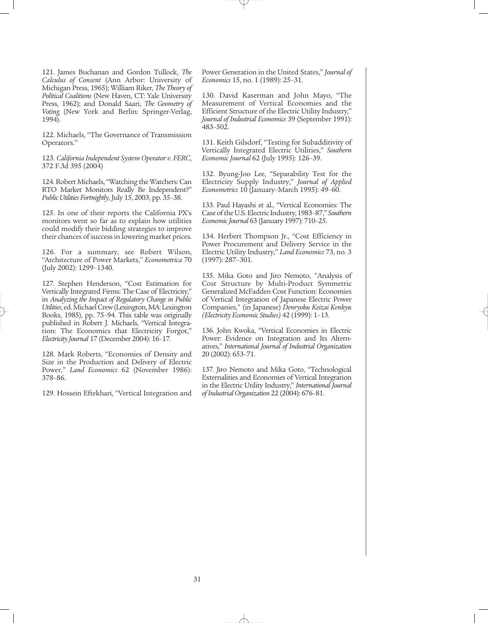121. James Buchanan and Gordon Tullock, *The Calculus of Consent* (Ann Arbor: University of Michigan Press, 1965); William Riker, *The Theory of Political Coalitions* (New Haven, CT: Yale University Press, 1962); and Donald Saari, *The Geometry of Voting* (New York and Berlin: Springer-Verlag, 1994).

122. Michaels, "The Governance of Transmission Operators."

123. *California Independent System Operator v. FERC*, 372 F.3d 395 (2004)

124. Robert Michaels, "Watching the Watchers: Can RTO Market Monitors Really Be Independent?" *Public Utilities Fortnightly*, July 15, 2003, pp. 35–38.

125. In one of their reports the California PX's monitors went so far as to explain how utilities could modify their bidding strategies to improve their chances of success in lowering market prices.

126. For a summary, see Robert Wilson, "Architecture of Power Markets," *Econometrica* 70 (July 2002): 1299–1340.

127. Stephen Henderson, "Cost Estimation for Vertically Integrated Firms: The Case of Electricity," in *Analyzing the Impact of Regulatory Change in Public Utilities*, ed. Michael Crew (Lexington, MA: Lexington Books, 1985), pp. 75–94. This table was originally published in Robert J. Michaels, "Vertical Integration: The Economics that Electricity Forgot," *Electricity Journal* 17 (December 2004): 16–17.

128. Mark Roberts, "Economies of Density and Size in the Production and Delivery of Electric Power," *Land Economics* 62 (November 1986): 378–86.

129. Hossein Eftekhari, "Vertical Integration and

Power Generation in the United States," *Journal of Economics* 15, no. 1 (1989): 25–31.

130. David Kaserman and John Mayo, "The Measurement of Vertical Economies and the Efficient Structure of the Electric Utility Industry," *Journal of Industrial Economics* 39 (September 1991): 483–502.

131. Keith Gilsdorf, "Testing for Subadditivity of Vertically Integrated Electric Utilities," *Southern Economic Journal* 62 (July 1995): 126–39.

132. Byung-Joo Lee, "Separability Test for the Electricity Supply Industry," *Journal of Applied Econometrics* 10 (January–March 1995): 49–60.

133. Paul Hayashi et al., "Vertical Economies: The Case of the U.S. Electric Industry, 1983–87," *Southern Economic Journal* 63 (January 1997): 710–25.

134. Herbert Thompson Jr., "Cost Efficiency in Power Procurement and Delivery Service in the Electric Utility Industry," *Land Economics* 73, no. 3 (1997): 287–301.

135. Mika Goto and Jiro Nemoto, "Analysis of Cost Structure by Multi-Product Symmetric Generalized McFadden Cost Function: Economies of Vertical Integration of Japanese Electric Power Companies," (in Japanese) *Denryoku Keizai Kenkyu (Electricity Economic Studies)* 42 (1999): 1–13.

136. John Kwoka, "Vertical Economies in Electric Power: Evidence on Integration and Its Alternatives," *International Journal of Industrial Organization* 20 (2002): 653–71.

137. Jiro Nemoto and Mika Goto, "Technological Externalities and Economies of Vertical Integration in the Electric Utility Industry," *International Journal of Industrial Organization* 22 (2004): 676–81.